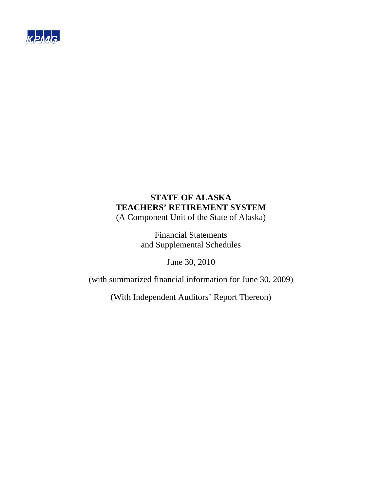

(A Component Unit of the State of Alaska)

Financial Statements and Supplemental Schedules

June 30, 2010

(with summarized financial information for June 30, 2009)

(With Independent Auditors' Report Thereon)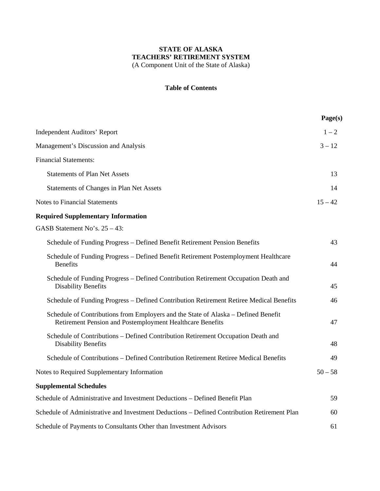#### **Table of Contents**

|                                                                                                                                                 | Page(s)   |
|-------------------------------------------------------------------------------------------------------------------------------------------------|-----------|
| <b>Independent Auditors' Report</b>                                                                                                             | $1 - 2$   |
| Management's Discussion and Analysis                                                                                                            | $3 - 12$  |
| <b>Financial Statements:</b>                                                                                                                    |           |
| <b>Statements of Plan Net Assets</b>                                                                                                            | 13        |
| Statements of Changes in Plan Net Assets                                                                                                        | 14        |
| <b>Notes to Financial Statements</b>                                                                                                            | $15 - 42$ |
| <b>Required Supplementary Information</b>                                                                                                       |           |
| GASB Statement No's. 25 - 43:                                                                                                                   |           |
| Schedule of Funding Progress - Defined Benefit Retirement Pension Benefits                                                                      | 43        |
| Schedule of Funding Progress - Defined Benefit Retirement Postemployment Healthcare<br><b>Benefits</b>                                          | 44        |
| Schedule of Funding Progress – Defined Contribution Retirement Occupation Death and<br><b>Disability Benefits</b>                               | 45        |
| Schedule of Funding Progress - Defined Contribution Retirement Retiree Medical Benefits                                                         | 46        |
| Schedule of Contributions from Employers and the State of Alaska – Defined Benefit<br>Retirement Pension and Postemployment Healthcare Benefits | 47        |
| Schedule of Contributions - Defined Contribution Retirement Occupation Death and<br><b>Disability Benefits</b>                                  | 48        |
| Schedule of Contributions - Defined Contribution Retirement Retiree Medical Benefits                                                            | 49        |
| Notes to Required Supplementary Information                                                                                                     | $50 - 58$ |
| <b>Supplemental Schedules</b>                                                                                                                   |           |
| Schedule of Administrative and Investment Deductions – Defined Benefit Plan                                                                     | 59        |
| Schedule of Administrative and Investment Deductions - Defined Contribution Retirement Plan                                                     | 60        |
|                                                                                                                                                 |           |

Schedule of Payments to Consultants Other than Investment Advisors 61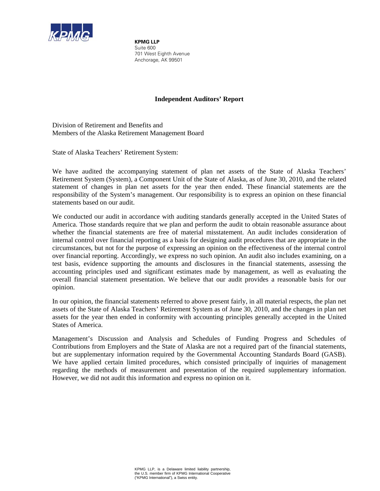

**KPMG LLP** Suite 600 701 West Eighth Avenue Anchorage, AK 99501

### **Independent Auditors' Report**

Division of Retirement and Benefits and Members of the Alaska Retirement Management Board

State of Alaska Teachers' Retirement System:

We have audited the accompanying statement of plan net assets of the State of Alaska Teachers' Retirement System (System), a Component Unit of the State of Alaska, as of June 30, 2010, and the related statement of changes in plan net assets for the year then ended. These financial statements are the responsibility of the System's management. Our responsibility is to express an opinion on these financial statements based on our audit.

We conducted our audit in accordance with auditing standards generally accepted in the United States of America. Those standards require that we plan and perform the audit to obtain reasonable assurance about whether the financial statements are free of material misstatement. An audit includes consideration of internal control over financial reporting as a basis for designing audit procedures that are appropriate in the circumstances, but not for the purpose of expressing an opinion on the effectiveness of the internal control over financial reporting. Accordingly, we express no such opinion. An audit also includes examining, on a test basis, evidence supporting the amounts and disclosures in the financial statements, assessing the accounting principles used and significant estimates made by management, as well as evaluating the overall financial statement presentation. We believe that our audit provides a reasonable basis for our opinion.

In our opinion, the financial statements referred to above present fairly, in all material respects, the plan net assets of the State of Alaska Teachers' Retirement System as of June 30, 2010, and the changes in plan net assets for the year then ended in conformity with accounting principles generally accepted in the United States of America.

Management's Discussion and Analysis and Schedules of Funding Progress and Schedules of Contributions from Employers and the State of Alaska are not a required part of the financial statements, but are supplementary information required by the Governmental Accounting Standards Board (GASB). We have applied certain limited procedures, which consisted principally of inquiries of management regarding the methods of measurement and presentation of the required supplementary information. However, we did not audit this information and express no opinion on it.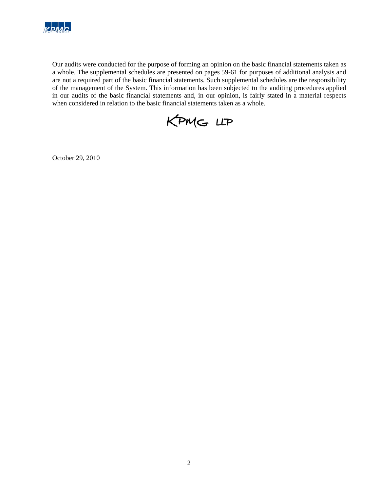

Our audits were conducted for the purpose of forming an opinion on the basic financial statements taken as a whole. The supplemental schedules are presented on pages 59-61 for purposes of additional analysis and are not a required part of the basic financial statements. Such supplemental schedules are the responsibility of the management of the System. This information has been subjected to the auditing procedures applied in our audits of the basic financial statements and, in our opinion, is fairly stated in a material respects when considered in relation to the basic financial statements taken as a whole.



October 29, 2010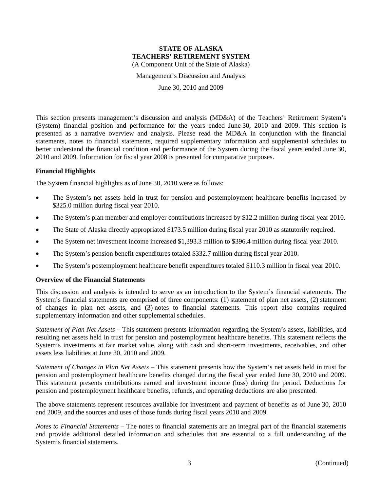Management's Discussion and Analysis

June 30, 2010 and 2009

This section presents management's discussion and analysis (MD&A) of the Teachers' Retirement System's (System) financial position and performance for the years ended June 30, 2010 and 2009. This section is presented as a narrative overview and analysis. Please read the MD&A in conjunction with the financial statements, notes to financial statements, required supplementary information and supplemental schedules to better understand the financial condition and performance of the System during the fiscal years ended June 30, 2010 and 2009. Information for fiscal year 2008 is presented for comparative purposes.

#### **Financial Highlights**

The System financial highlights as of June 30, 2010 were as follows:

- The System's net assets held in trust for pension and postemployment healthcare benefits increased by \$325.0 million during fiscal year 2010.
- The System's plan member and employer contributions increased by \$12.2 million during fiscal year 2010.
- The State of Alaska directly appropriated \$173.5 million during fiscal year 2010 as statutorily required.
- The System net investment income increased \$1,393.3 million to \$396.4 million during fiscal year 2010.
- The System's pension benefit expenditures totaled \$332.7 million during fiscal year 2010.
- The System's postemployment healthcare benefit expenditures totaled \$110.3 million in fiscal year 2010.

#### **Overview of the Financial Statements**

This discussion and analysis is intended to serve as an introduction to the System's financial statements. The System's financial statements are comprised of three components: (1) statement of plan net assets, (2) statement of changes in plan net assets, and (3) notes to financial statements. This report also contains required supplementary information and other supplemental schedules.

*Statement of Plan Net Assets* – This statement presents information regarding the System's assets, liabilities, and resulting net assets held in trust for pension and postemployment healthcare benefits. This statement reflects the System's investments at fair market value, along with cash and short-term investments, receivables, and other assets less liabilities at June 30, 2010 and 2009.

*Statement of Changes in Plan Net Assets* – This statement presents how the System's net assets held in trust for pension and postemployment healthcare benefits changed during the fiscal year ended June 30, 2010 and 2009. This statement presents contributions earned and investment income (loss) during the period. Deductions for pension and postemployment healthcare benefits, refunds, and operating deductions are also presented.

The above statements represent resources available for investment and payment of benefits as of June 30, 2010 and 2009, and the sources and uses of those funds during fiscal years 2010 and 2009.

*Notes to Financial Statements* – The notes to financial statements are an integral part of the financial statements and provide additional detailed information and schedules that are essential to a full understanding of the System's financial statements.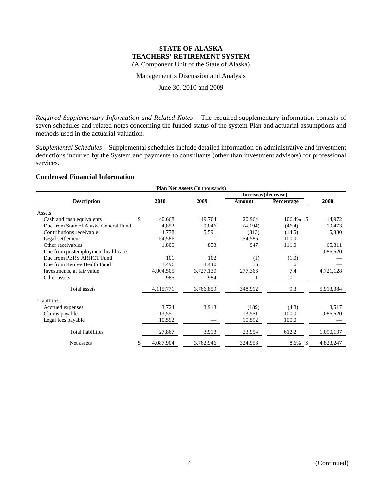Management's Discussion and Analysis

June 30, 2010 and 2009

*Required Supplementary Information and Related Notes* – The required supplementary information consists of seven schedules and related notes concerning the funded status of the system Plan and actuarial assumptions and methods used in the actuarial valuation.

*Supplemental Schedules* – Supplemental schedules include detailed information on administrative and investment deductions incurred by the System and payments to consultants (other than investment advisors) for professional services.

#### **Condensed Financial Information**

| <b>Plan Net Assets (In thousands)</b> |                |           |                     |              |           |  |  |  |
|---------------------------------------|----------------|-----------|---------------------|--------------|-----------|--|--|--|
|                                       |                |           | Increase/(decrease) |              |           |  |  |  |
| <b>Description</b>                    | 2010           | 2009      | Amount              | Percentage   | 2008      |  |  |  |
| Assets:                               |                |           |                     |              |           |  |  |  |
| Cash and cash equivalents             | \$<br>40,668   | 19,704    | 20,964              | 106.4%<br>-S | 14,972    |  |  |  |
| Due from State of Alaska General Fund | 4,852          | 9,046     | (4,194)             | (46.4)       | 19,473    |  |  |  |
| Contributions receivable              | 4,778          | 5,591     | (813)               | (14.5)       | 5,380     |  |  |  |
| Legal settlement                      | 54,586         |           | 54,586              | 100.0        |           |  |  |  |
| Other receivables                     | 1,800          | 853       | 947                 | 111.0        | 65,811    |  |  |  |
| Due from postemployment healthcare    |                |           |                     |              | 1,086,620 |  |  |  |
| Due from PERS ARHCT Fund              | 101            | 102       | (1)                 | (1.0)        |           |  |  |  |
| Due from Retiree Health Fund          | 3,496          | 3,440     | 56                  | 1.6          |           |  |  |  |
| Investments, at fair value            | 4,004,505      | 3,727,139 | 277,366             | 7.4          | 4,721,128 |  |  |  |
| Other assets                          | 985            | 984       |                     | 0.1          |           |  |  |  |
| Total assets                          | 4,115,771      | 3,766,859 | 348,912             | 9.3          | 5,913,384 |  |  |  |
| Liabilities:                          |                |           |                     |              |           |  |  |  |
| Accrued expenses                      | 3,724          | 3,913     | (189)               | (4.8)        | 3,517     |  |  |  |
| Claims payable                        | 13,551         |           | 13,551              | 100.0        | 1,086,620 |  |  |  |
| Legal fees payable                    | 10,592         |           | 10,592              | 100.0        |           |  |  |  |
| Total liabilities                     | 27,867         | 3,913     | 23,954              | 612.2        | 1,090,137 |  |  |  |
| Net assets                            | 4,087,904<br>S | 3,762,946 | 324,958             | 8.6%<br>-S   | 4,823,247 |  |  |  |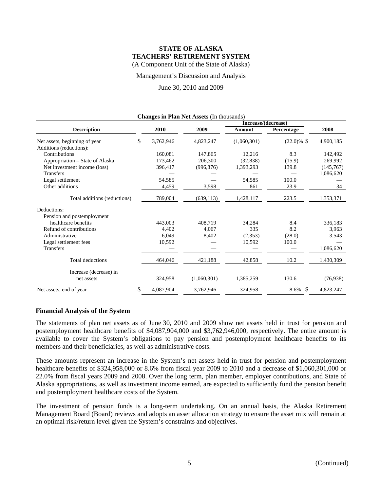Management's Discussion and Analysis

June 30, 2010 and 2009

| <b>Changes in Plan Net Assets (In thousands)</b> |                     |           |             |             |               |           |  |  |
|--------------------------------------------------|---------------------|-----------|-------------|-------------|---------------|-----------|--|--|
|                                                  | Increase/(decrease) |           |             |             |               |           |  |  |
| <b>Description</b>                               |                     | 2010      | 2009        | Amount      | Percentage    | 2008      |  |  |
| Net assets, beginning of year                    | \$.                 | 3,762,946 | 4,823,247   | (1,060,301) | $(22.0)\%$ \$ | 4,900,185 |  |  |
| Additions (reductions):                          |                     |           |             |             |               |           |  |  |
| Contributions                                    |                     | 160,081   | 147,865     | 12,216      | 8.3           | 142,492   |  |  |
| Appropriation – State of Alaska                  |                     | 173,462   | 206,300     | (32, 838)   | (15.9)        | 269,992   |  |  |
| Net investment income (loss)                     |                     | 396,417   | (996, 876)  | 1,393,293   | 139.8         | (145,767) |  |  |
| <b>Transfers</b>                                 |                     |           |             |             |               | 1,086,620 |  |  |
| Legal settlement                                 |                     | 54,585    |             | 54,585      | 100.0         |           |  |  |
| Other additions                                  |                     | 4,459     | 3,598       | 861         | 23.9          | 34        |  |  |
| Total additions (reductions)                     |                     | 789,004   | (639, 113)  | 1,428,117   | 223.5         | 1,353,371 |  |  |
| Deductions:                                      |                     |           |             |             |               |           |  |  |
| Pension and postemployment                       |                     |           |             |             |               |           |  |  |
| healthcare benefits                              |                     | 443,003   | 408,719     | 34,284      | 8.4           | 336,183   |  |  |
| Refund of contributions                          |                     | 4,402     | 4,067       | 335         | 8.2           | 3,963     |  |  |
| Administrative                                   |                     | 6.049     | 8,402       | (2,353)     | (28.0)        | 3,543     |  |  |
| Legal settlement fees                            |                     | 10,592    |             | 10,592      | 100.0         |           |  |  |
| <b>Transfers</b>                                 |                     |           |             |             |               | 1,086,620 |  |  |
| <b>Total deductions</b>                          |                     | 464,046   | 421,188     | 42,858      | 10.2          | 1,430,309 |  |  |
| Increase (decrease) in                           |                     |           |             |             |               |           |  |  |
| net assets                                       |                     | 324,958   | (1,060,301) | 1,385,259   | 130.6         | (76, 938) |  |  |
| Net assets, end of year                          |                     | 4,087,904 | 3,762,946   | 324,958     | $8.6\%$ \$    | 4,823,247 |  |  |

#### **Financial Analysis of the System**

The statements of plan net assets as of June 30, 2010 and 2009 show net assets held in trust for pension and postemployment healthcare benefits of \$4,087,904,000 and \$3,762,946,000, respectively. The entire amount is available to cover the System's obligations to pay pension and postemployment healthcare benefits to its members and their beneficiaries, as well as administrative costs.

These amounts represent an increase in the System's net assets held in trust for pension and postemployment healthcare benefits of \$324,958,000 or 8.6% from fiscal year 2009 to 2010 and a decrease of \$1,060,301,000 or 22.0% from fiscal years 2009 and 2008. Over the long term, plan member, employer contributions, and State of Alaska appropriations, as well as investment income earned, are expected to sufficiently fund the pension benefit and postemployment healthcare costs of the System.

The investment of pension funds is a long-term undertaking. On an annual basis, the Alaska Retirement Management Board (Board) reviews and adopts an asset allocation strategy to ensure the asset mix will remain at an optimal risk/return level given the System's constraints and objectives.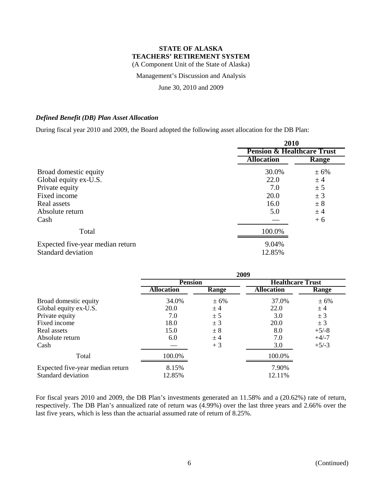Management's Discussion and Analysis

June 30, 2010 and 2009

#### *Defined Benefit (DB) Plan Asset Allocation*

During fiscal year 2010 and 2009, the Board adopted the following asset allocation for the DB Plan:

|                                  |                                       | 2010  |  |  |  |
|----------------------------------|---------------------------------------|-------|--|--|--|
|                                  | <b>Pension &amp; Healthcare Trust</b> |       |  |  |  |
|                                  | <b>Allocation</b>                     | Range |  |  |  |
| Broad domestic equity            | 30.0%                                 | ± 6%  |  |  |  |
| Global equity ex-U.S.            | 22.0                                  | ± 4   |  |  |  |
| Private equity                   | 7.0                                   | ± 5   |  |  |  |
| Fixed income                     | 20.0                                  | ± 3   |  |  |  |
| Real assets                      | 16.0                                  | ± 8   |  |  |  |
| Absolute return                  | 5.0                                   | ± 4   |  |  |  |
| Cash                             |                                       | $+6$  |  |  |  |
| Total                            | 100.0%                                |       |  |  |  |
| Expected five-year median return | 9.04%                                 |       |  |  |  |
| Standard deviation               | 12.85%                                |       |  |  |  |

|                                  | 2009              |       |                         |         |  |  |  |
|----------------------------------|-------------------|-------|-------------------------|---------|--|--|--|
|                                  | <b>Pension</b>    |       | <b>Healthcare Trust</b> |         |  |  |  |
|                                  | <b>Allocation</b> | Range | <b>Allocation</b>       | Range   |  |  |  |
| Broad domestic equity            | 34.0%             | ± 6%  | 37.0%                   | ± 6%    |  |  |  |
| Global equity ex-U.S.            | 20.0              | ± 4   | 22.0                    | ± 4     |  |  |  |
| Private equity                   | 7.0               | ± 5   | 3.0                     | ± 3     |  |  |  |
| Fixed income                     | 18.0              | ± 3   | 20.0                    | $±$ 3   |  |  |  |
| Real assets                      | 15.0              | ± 8   | 8.0                     | $+5/-8$ |  |  |  |
| Absolute return                  | 6.0               | ± 4   | 7.0                     | $+4/-7$ |  |  |  |
| Cash                             |                   | $+3$  | 3.0                     | $+5/-3$ |  |  |  |
| Total                            | 100.0%            |       | 100.0%                  |         |  |  |  |
| Expected five-year median return | 8.15%             |       | 7.90%                   |         |  |  |  |
| Standard deviation               | 12.85%            |       | 12.11%                  |         |  |  |  |

For fiscal years 2010 and 2009, the DB Plan's investments generated an 11.58% and a (20.62%) rate of return, respectively. The DB Plan's annualized rate of return was (4.99%) over the last three years and 2.66% over the last five years, which is less than the actuarial assumed rate of return of 8.25%.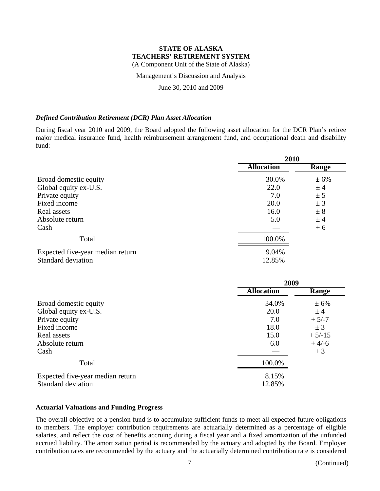Management's Discussion and Analysis

June 30, 2010 and 2009

#### *Defined Contribution Retirement (DCR) Plan Asset Allocation*

During fiscal year 2010 and 2009, the Board adopted the following asset allocation for the DCR Plan's retiree major medical insurance fund, health reimbursement arrangement fund, and occupational death and disability fund:

|                                  | 2010              |       |  |  |
|----------------------------------|-------------------|-------|--|--|
|                                  | <b>Allocation</b> | Range |  |  |
| Broad domestic equity            | 30.0%             | ± 6%  |  |  |
| Global equity ex-U.S.            | 22.0              | $±$ 4 |  |  |
| Private equity                   | 7.0               | ± 5   |  |  |
| Fixed income                     | 20.0              | ± 3   |  |  |
| Real assets                      | 16.0              | ± 8   |  |  |
| Absolute return                  | 5.0               | $±$ 4 |  |  |
| Cash                             |                   | $+6$  |  |  |
| Total                            | 100.0%            |       |  |  |
| Expected five-year median return | 9.04%             |       |  |  |
| <b>Standard deviation</b>        | 12.85%            |       |  |  |

|                                  | 2009              |         |  |  |
|----------------------------------|-------------------|---------|--|--|
|                                  | <b>Allocation</b> | Range   |  |  |
| Broad domestic equity            | 34.0%             | ± 6%    |  |  |
| Global equity ex-U.S.            | 20.0              | $±$ 4   |  |  |
| Private equity                   | 7.0               | $+5/-7$ |  |  |
| Fixed income                     | 18.0              | ± 3     |  |  |
| Real assets                      | 15.0              | $+5/15$ |  |  |
| Absolute return                  | 6.0               | $+4/-6$ |  |  |
| Cash                             |                   | $+3$    |  |  |
| Total                            | 100.0%            |         |  |  |
| Expected five-year median return | 8.15%             |         |  |  |
| <b>Standard deviation</b>        | 12.85%            |         |  |  |

#### **Actuarial Valuations and Funding Progress**

The overall objective of a pension fund is to accumulate sufficient funds to meet all expected future obligations to members. The employer contribution requirements are actuarially determined as a percentage of eligible salaries, and reflect the cost of benefits accruing during a fiscal year and a fixed amortization of the unfunded accrued liability. The amortization period is recommended by the actuary and adopted by the Board. Employer contribution rates are recommended by the actuary and the actuarially determined contribution rate is considered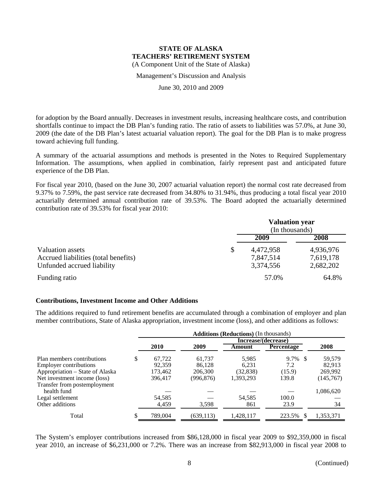Management's Discussion and Analysis

June 30, 2010 and 2009

for adoption by the Board annually. Decreases in investment results, increasing healthcare costs, and contribution shortfalls continue to impact the DB Plan's funding ratio. The ratio of assets to liabilities was 57.0%, at June 30, 2009 (the date of the DB Plan's latest actuarial valuation report). The goal for the DB Plan is to make progress toward achieving full funding.

A summary of the actuarial assumptions and methods is presented in the Notes to Required Supplementary Information. The assumptions, when applied in combination, fairly represent past and anticipated future experience of the DB Plan.

For fiscal year 2010, (based on the June 30, 2007 actuarial valuation report) the normal cost rate decreased from 9.37% to 7.59%, the past service rate decreased from 34.80% to 31.94%, thus producing a total fiscal year 2010 actuarially determined annual contribution rate of 39.53%. The Board adopted the actuarially determined contribution rate of 39.53% for fiscal year 2010:

|                                                                                        |   | <b>Valuation year</b><br>(In thousands) |                                     |
|----------------------------------------------------------------------------------------|---|-----------------------------------------|-------------------------------------|
|                                                                                        |   | 2009                                    | 2008                                |
| Valuation assets<br>Accrued liabilities (total benefits)<br>Unfunded accrued liability | S | 4,472,958<br>7,847,514<br>3,374,556     | 4,936,976<br>7,619,178<br>2,682,202 |
| Funding ratio                                                                          |   | 57.0%                                   | 64.8%                               |

#### **Contributions, Investment Income and Other Additions**

The additions required to fund retirement benefits are accumulated through a combination of employer and plan member contributions, State of Alaska appropriation, investment income (loss), and other additions as follows:

|                                 | <b>Additions (Reductions)</b> (In thousands) |            |                     |                   |            |  |  |  |
|---------------------------------|----------------------------------------------|------------|---------------------|-------------------|------------|--|--|--|
|                                 |                                              |            | Increase/(decrease) |                   |            |  |  |  |
|                                 | 2010                                         | 2009       | Amount              | <b>Percentage</b> | 2008       |  |  |  |
| Plan members contributions      | \$<br>67.722                                 | 61,737     | 5,985               | 9.7% \$           | 59,579     |  |  |  |
| <b>Employer contributions</b>   | 92,359                                       | 86,128     | 6,231               | 7.2               | 82,913     |  |  |  |
| Appropriation – State of Alaska | 173,462                                      | 206,300    | (32, 838)           | (15.9)            | 269,992    |  |  |  |
| Net investment income (loss)    | 396,417                                      | (996,876)  | 1,393,293           | 139.8             | (145, 767) |  |  |  |
| Transfer from postemployment    |                                              |            |                     |                   |            |  |  |  |
| health fund                     |                                              |            |                     |                   | 1,086,620  |  |  |  |
| Legal settlement                | 54,585                                       |            | 54,585              | 100.0             |            |  |  |  |
| Other additions                 | 4,459                                        | 3,598      | 861                 | 23.9              | 34         |  |  |  |
| Total                           | 789,004                                      | (639, 113) | 1,428,117           | 223.5%            | 1,353,371  |  |  |  |

The System's employer contributions increased from \$86,128,000 in fiscal year 2009 to \$92,359,000 in fiscal year 2010, an increase of \$6,231,000 or 7.2%. There was an increase from \$82,913,000 in fiscal year 2008 to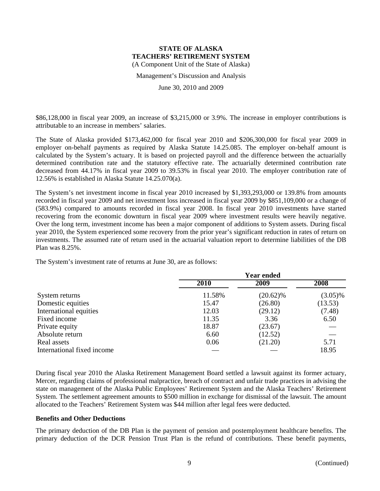Management's Discussion and Analysis

June 30, 2010 and 2009

\$86,128,000 in fiscal year 2009, an increase of \$3,215,000 or 3.9%. The increase in employer contributions is attributable to an increase in members' salaries.

The State of Alaska provided \$173,462,000 for fiscal year 2010 and \$206,300,000 for fiscal year 2009 in employer on-behalf payments as required by Alaska Statute 14.25.085. The employer on-behalf amount is calculated by the System's actuary. It is based on projected payroll and the difference between the actuarially determined contribution rate and the statutory effective rate. The actuarially determined contribution rate decreased from 44.17% in fiscal year 2009 to 39.53% in fiscal year 2010. The employer contribution rate of 12.56% is established in Alaska Statute 14.25.070(a).

The System's net investment income in fiscal year 2010 increased by \$1,393,293,000 or 139.8% from amounts recorded in fiscal year 2009 and net investment loss increased in fiscal year 2009 by \$851,109,000 or a change of (583.9%) compared to amounts recorded in fiscal year 2008. In fiscal year 2010 investments have started recovering from the economic downturn in fiscal year 2009 where investment results were heavily negative. Over the long term, investment income has been a major component of additions to System assets. During fiscal year 2010, the System experienced some recovery from the prior year's significant reduction in rates of return on investments. The assumed rate of return used in the actuarial valuation report to determine liabilities of the DB Plan was 8.25%.

|                            | <b>Year ended</b> |             |            |  |  |  |
|----------------------------|-------------------|-------------|------------|--|--|--|
|                            | 2010              | 2009        | 2008       |  |  |  |
| System returns             | 11.58%            | $(20.62)\%$ | $(3.05)\%$ |  |  |  |
| Domestic equities          | 15.47             | (26.80)     | (13.53)    |  |  |  |
| International equities     | 12.03             | (29.12)     | (7.48)     |  |  |  |
| Fixed income               | 11.35             | 3.36        | 6.50       |  |  |  |
| Private equity             | 18.87             | (23.67)     |            |  |  |  |
| Absolute return            | 6.60              | (12.52)     |            |  |  |  |
| Real assets                | 0.06              | (21.20)     | 5.71       |  |  |  |
| International fixed income |                   |             | 18.95      |  |  |  |

The System's investment rate of returns at June 30, are as follows:

During fiscal year 2010 the Alaska Retirement Management Board settled a lawsuit against its former actuary, Mercer, regarding claims of professional malpractice, breach of contract and unfair trade practices in advising the state on management of the Alaska Public Employees' Retirement System and the Alaska Teachers' Retirement System. The settlement agreement amounts to \$500 million in exchange for dismissal of the lawsuit. The amount allocated to the Teachers' Retirement System was \$44 million after legal fees were deducted.

#### **Benefits and Other Deductions**

The primary deduction of the DB Plan is the payment of pension and postemployment healthcare benefits. The primary deduction of the DCR Pension Trust Plan is the refund of contributions. These benefit payments,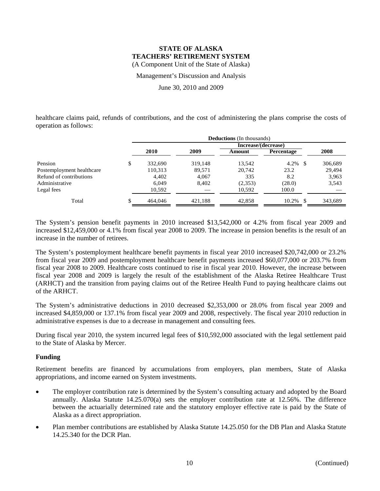Management's Discussion and Analysis

June 30, 2010 and 2009

healthcare claims paid, refunds of contributions, and the cost of administering the plans comprise the costs of operation as follows:

|                           | <b>Deductions</b> (In thousands) |         |                     |                   |         |  |  |  |
|---------------------------|----------------------------------|---------|---------------------|-------------------|---------|--|--|--|
|                           |                                  |         | Increase/(decrease) |                   |         |  |  |  |
|                           | 2010                             | 2009    | Amount              | <b>Percentage</b> | 2008    |  |  |  |
| Pension                   | \$<br>332,690                    | 319,148 | 13,542              | $4.2\%$ \$        | 306,689 |  |  |  |
| Postemployment healthcare | 110,313                          | 89,571  | 20,742              | 23.2              | 29.494  |  |  |  |
| Refund of contributions   | 4,402                            | 4,067   | 335                 | 8.2               | 3,963   |  |  |  |
| Administrative            | 6.049                            | 8,402   | (2,353)             | (28.0)            | 3,543   |  |  |  |
| Legal fees                | 10,592                           |         | 10.592              | 100.0             |         |  |  |  |
| Total                     | \$<br>464,046                    | 421,188 | 42,858              | $10.2\%$ \$       | 343,689 |  |  |  |

The System's pension benefit payments in 2010 increased \$13,542,000 or 4.2% from fiscal year 2009 and increased \$12,459,000 or 4.1% from fiscal year 2008 to 2009. The increase in pension benefits is the result of an increase in the number of retirees.

The System's postemployment healthcare benefit payments in fiscal year 2010 increased \$20,742,000 or 23.2% from fiscal year 2009 and postemployment healthcare benefit payments increased \$60,077,000 or 203.7% from fiscal year 2008 to 2009. Healthcare costs continued to rise in fiscal year 2010. However, the increase between fiscal year 2008 and 2009 is largely the result of the establishment of the Alaska Retiree Healthcare Trust (ARHCT) and the transition from paying claims out of the Retiree Health Fund to paying healthcare claims out of the ARHCT.

The System's administrative deductions in 2010 decreased \$2,353,000 or 28.0% from fiscal year 2009 and increased \$4,859,000 or 137.1% from fiscal year 2009 and 2008, respectively. The fiscal year 2010 reduction in administrative expenses is due to a decrease in management and consulting fees.

During fiscal year 2010, the system incurred legal fees of \$10,592,000 associated with the legal settlement paid to the State of Alaska by Mercer.

#### **Funding**

Retirement benefits are financed by accumulations from employers, plan members, State of Alaska appropriations, and income earned on System investments.

- The employer contribution rate is determined by the System's consulting actuary and adopted by the Board annually. Alaska Statute 14.25.070(a) sets the employer contribution rate at 12.56%. The difference between the actuarially determined rate and the statutory employer effective rate is paid by the State of Alaska as a direct appropriation.
- Plan member contributions are established by Alaska Statute 14.25.050 for the DB Plan and Alaska Statute 14.25.340 for the DCR Plan.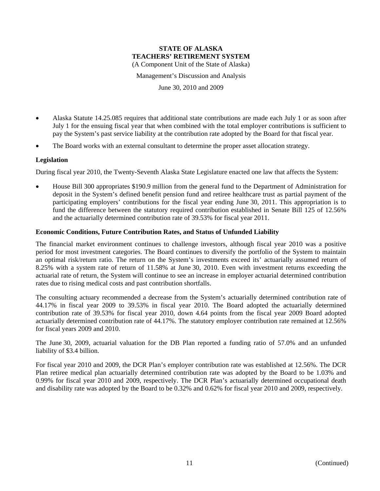Management's Discussion and Analysis

June 30, 2010 and 2009

- Alaska Statute 14.25.085 requires that additional state contributions are made each July 1 or as soon after July 1 for the ensuing fiscal year that when combined with the total employer contributions is sufficient to pay the System's past service liability at the contribution rate adopted by the Board for that fiscal year.
- The Board works with an external consultant to determine the proper asset allocation strategy.

#### **Legislation**

During fiscal year 2010, the Twenty-Seventh Alaska State Legislature enacted one law that affects the System:

 House Bill 300 appropriates \$190.9 million from the general fund to the Department of Administration for deposit in the System's defined benefit pension fund and retiree healthcare trust as partial payment of the participating employers' contributions for the fiscal year ending June 30, 2011. This appropriation is to fund the difference between the statutory required contribution established in Senate Bill 125 of 12.56% and the actuarially determined contribution rate of 39.53% for fiscal year 2011.

#### **Economic Conditions, Future Contribution Rates, and Status of Unfunded Liability**

The financial market environment continues to challenge investors, although fiscal year 2010 was a positive period for most investment categories. The Board continues to diversify the portfolio of the System to maintain an optimal risk/return ratio. The return on the System's investments exceed its' actuarially assumed return of 8.25% with a system rate of return of 11.58% at June 30, 2010. Even with investment returns exceeding the actuarial rate of return, the System will continue to see an increase in employer actuarial determined contribution rates due to rising medical costs and past contribution shortfalls.

The consulting actuary recommended a decrease from the System's actuarially determined contribution rate of 44.17% in fiscal year 2009 to 39.53% in fiscal year 2010. The Board adopted the actuarially determined contribution rate of 39.53% for fiscal year 2010, down 4.64 points from the fiscal year 2009 Board adopted actuarially determined contribution rate of 44.17%. The statutory employer contribution rate remained at 12.56% for fiscal years 2009 and 2010.

The June 30, 2009, actuarial valuation for the DB Plan reported a funding ratio of 57.0% and an unfunded liability of \$3.4 billion.

For fiscal year 2010 and 2009, the DCR Plan's employer contribution rate was established at 12.56%. The DCR Plan retiree medical plan actuarially determined contribution rate was adopted by the Board to be 1.03% and 0.99% for fiscal year 2010 and 2009, respectively. The DCR Plan's actuarially determined occupational death and disability rate was adopted by the Board to be 0.32% and 0.62% for fiscal year 2010 and 2009, respectively.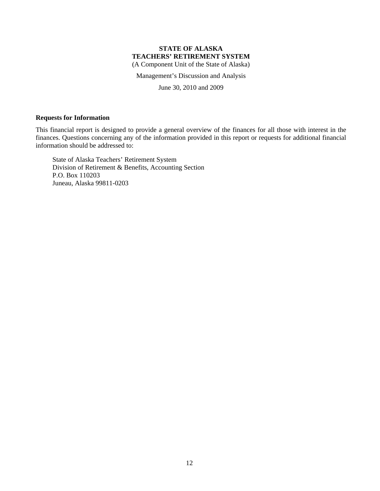(A Component Unit of the State of Alaska)

Management's Discussion and Analysis

June 30, 2010 and 2009

#### **Requests for Information**

This financial report is designed to provide a general overview of the finances for all those with interest in the finances. Questions concerning any of the information provided in this report or requests for additional financial information should be addressed to:

State of Alaska Teachers' Retirement System Division of Retirement & Benefits, Accounting Section P.O. Box 110203 Juneau, Alaska 99811-0203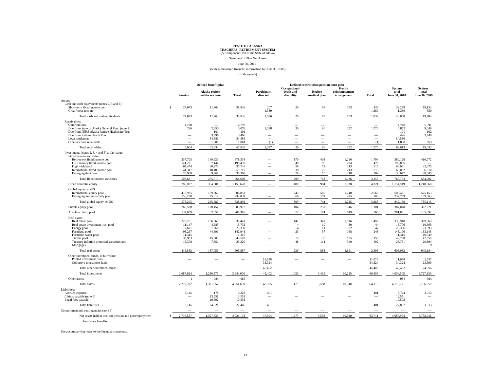#### Statement of Plan Net Assets

June 30, 2010

#### (with summarized financial information for June 30, 2009)

(In thousands)

|                                                                                                                                                                                                         | Defined benefit plan                                                                             |                                                                       |                                                                           | Defined contribution pension trust plan                                                                                      |                                                                                                                   |                                                                                            |                                             |                                                                    |                                                                                                  |                                                                           |
|---------------------------------------------------------------------------------------------------------------------------------------------------------------------------------------------------------|--------------------------------------------------------------------------------------------------|-----------------------------------------------------------------------|---------------------------------------------------------------------------|------------------------------------------------------------------------------------------------------------------------------|-------------------------------------------------------------------------------------------------------------------|--------------------------------------------------------------------------------------------|---------------------------------------------|--------------------------------------------------------------------|--------------------------------------------------------------------------------------------------|---------------------------------------------------------------------------|
|                                                                                                                                                                                                         | <b>Pension</b>                                                                                   | Alaska retiree<br>healthcare trust                                    | Total                                                                     | Participant<br>directed                                                                                                      | Occupational<br>death and<br>disability                                                                           | Retiree<br>medical plan                                                                    | Health<br>reimbursement<br>arrangement      | <b>Total</b>                                                       | <b>System</b><br>total<br>June 30, 2010                                                          | <b>System</b><br>total<br>June 30, 2009                                   |
| Assets:                                                                                                                                                                                                 |                                                                                                  |                                                                       |                                                                           |                                                                                                                              |                                                                                                                   |                                                                                            |                                             |                                                                    |                                                                                                  |                                                                           |
| Cash and cash equivalents (notes 2, 3 and 4):<br>Short-term fixed income poo<br>Great West account                                                                                                      | 27,073                                                                                           | 11,763                                                                | 38,836                                                                    | 207<br>1,389                                                                                                                 | $20\,$                                                                                                            | 63                                                                                         | 153                                         | 443<br>1,389                                                       | 39,279<br>1,389                                                                                  | 19,154<br>550                                                             |
| Total cash and cash equivalents                                                                                                                                                                         | 27,073                                                                                           | 11,763                                                                | 38,836                                                                    | 1,596                                                                                                                        | $20\,$                                                                                                            | 63                                                                                         | 153                                         | 1,832                                                              | 40,668                                                                                           | 19,704                                                                    |
| Receivables:                                                                                                                                                                                            |                                                                                                  |                                                                       |                                                                           |                                                                                                                              |                                                                                                                   |                                                                                            |                                             |                                                                    |                                                                                                  |                                                                           |
| Contributions<br>Due from State of Alaska General Fund (note 2<br>Due from PERS Alaska Retiree Healthcare Trus<br>Due from Retiree Health Func<br>Legal settlement<br>Other account receivable          | 4,778<br>226<br>$\overline{\phantom{a}}$<br>$\overline{\phantom{a}}$<br>$\overline{\phantom{a}}$ | 2,850<br>101<br>3.496<br>54,586<br>1,801                              | 4,778<br>3.076<br>101<br>3.496<br>54,586<br>1,801                         | $\overline{\phantom{a}}$<br>1,398<br>$\overline{\phantom{a}}$<br>$\overline{\phantom{a}}$<br>$\overline{\phantom{a}}$<br>(1) | 30<br>$\overline{\phantom{0}}$<br>-                                                                               | 96                                                                                         | -<br>252<br>-<br>-                          | 1,776<br>$\overline{\phantom{a}}$<br>(1)                           | 4,778<br>4,852<br>101<br>3,496<br>54,586<br>1,800                                                | 5,591<br>9,046<br>102<br>3,440<br>$\overline{\phantom{a}}$<br>853         |
| Total receivables                                                                                                                                                                                       | 5,004                                                                                            | 62,834                                                                | 67,838                                                                    | 1,397                                                                                                                        | 30                                                                                                                | 96                                                                                         | 252                                         | 1,775                                                              | 69,613                                                                                           | 19,032                                                                    |
| Investments (notes 2, 3, 4 and 5) at fair value:<br>Fixed income securities<br>Retirement fixed income poo<br>US Treasury fixed income poo<br>High yield pool<br>International fixed income poo         | 237,705<br>141.291<br>67,474<br>41,311                                                           | 140,629<br>57.144<br>30,272<br>18,406                                 | 378,334<br>198.435<br>97,746<br>59,717                                    |                                                                                                                              | 170<br>40<br>30<br>30                                                                                             | 408<br>96<br>72<br>$72\,$                                                                  | 1,216<br>284<br>213<br>213                  | 1,794<br>420<br>315<br>315                                         | 380,128<br>198,855<br>98,061<br>60,032                                                           | 416,972<br>82,475<br>56,810                                               |
| Emerging debt pool                                                                                                                                                                                      | 20,900                                                                                           | 9,468                                                                 | 30,368                                                                    |                                                                                                                              | 29                                                                                                                | 70                                                                                         | 210                                         | 309                                                                | 30,677                                                                                           | 28,645                                                                    |
| Total fixed income securities                                                                                                                                                                           | 508,681                                                                                          | 255,919                                                               | 764,600                                                                   |                                                                                                                              | 299                                                                                                               | 718                                                                                        | 2,136                                       | 3,153                                                              | 767,753                                                                                          | 584,902                                                                   |
| Broad domestic equity                                                                                                                                                                                   | 786,027                                                                                          | 364,601                                                               | 1.150.628                                                                 |                                                                                                                              | 409                                                                                                               | 984                                                                                        | 2,928                                       | 4,321                                                              | 1.154.949                                                                                        | 1,248,868                                                                 |
| Global equity ex-US:<br>International equity pool<br>Emerging markets equity poo                                                                                                                        | 416,985<br>156,220                                                                               | 189,868<br>75,819                                                     | 606,853<br>232,039                                                        |                                                                                                                              | 243<br>66                                                                                                         | 585<br>159                                                                                 | 1,740<br>475                                | 2,568<br>700                                                       | 609,421<br>232,739                                                                               | 575,453<br>159,663                                                        |
| Total global equity ex-US                                                                                                                                                                               | 573,205                                                                                          | 265,687                                                               | 838,892                                                                   |                                                                                                                              | 309                                                                                                               | 744                                                                                        | 2,215                                       | 3,268                                                              | 842,160                                                                                          | 735,116                                                                   |
| Private equity pool                                                                                                                                                                                     | 265,520                                                                                          | 120,457                                                               | 385,977                                                                   |                                                                                                                              | 104                                                                                                               | 251                                                                                        | 746                                         | 1,101                                                              | 387,078                                                                                          | 322,221                                                                   |
| Absolute return pool                                                                                                                                                                                    | 137,659                                                                                          | 62,657                                                                | 200,316                                                                   |                                                                                                                              | 72                                                                                                                | 174                                                                                        | 519                                         | 765                                                                | 201,081                                                                                          | 165,892                                                                   |
| Real assets:<br>Real estate pool<br>Real estate investment trust pool<br>Energy pool<br>Farmland pool<br>Farmland water pool<br>Timber pool<br>Treasury inflation protected securities poo<br>Mortgages | 228,781<br>11,147<br>17,671<br>98.257<br>11,315<br>33,983<br>15,378<br>$\overline{\phantom{a}}$  | 106,660<br>4,585<br>7,668<br>44,691<br>$\sim$<br>15,600<br>7,851<br>- | 335,441<br>15,732<br>25,339<br>142.948<br>11,315<br>49,583<br>23,229<br>- |                                                                                                                              | 142<br>$\overline{4}$<br>$\overline{4}$<br>23<br>$\overline{\phantom{0}}$<br>15<br>48<br>$\overline{\phantom{0}}$ | 341<br>10<br>11<br>57<br>$\overline{\phantom{a}}$<br>35<br>114<br>$\overline{\phantom{m}}$ | 1,016<br>30<br>32<br>168<br>-<br>105<br>340 | 1,499<br>44<br>47<br>248<br>155<br>502<br>$\overline{\phantom{a}}$ | 336,940<br>15,776<br>25,386<br>143,196<br>11,315<br>49,738<br>23,731<br>$\overline{\phantom{a}}$ | 399,669<br>10,360<br>23,593<br>133,145<br>10,549<br>47,055<br>20,804<br>9 |
| Total real assets                                                                                                                                                                                       | 416,532                                                                                          | 187,055                                                               | 603,587                                                                   |                                                                                                                              | 236                                                                                                               | 568                                                                                        | 1,691                                       | 2,495                                                              | 606,082                                                                                          | 645,184                                                                   |
| Other investment funds, at fair value:<br>Pooled investment funds<br>Collective investment funds                                                                                                        |                                                                                                  |                                                                       |                                                                           | 11,078<br>34,324                                                                                                             |                                                                                                                   |                                                                                            |                                             | 11,078<br>34,324                                                   | 11,078<br>34,324                                                                                 | 1,557<br>23,399                                                           |
| Total other investment funds                                                                                                                                                                            |                                                                                                  | $\overline{\phantom{a}}$                                              | $\overline{\phantom{0}}$                                                  | 45,402                                                                                                                       |                                                                                                                   | $\sim$                                                                                     | $\overline{\phantom{0}}$                    | 45,402                                                             | 45,402                                                                                           | 24,956                                                                    |
| Total investments                                                                                                                                                                                       | 2,687,624                                                                                        | 1,256,376                                                             | 3,944,000                                                                 | 45,402                                                                                                                       | 1,429                                                                                                             | 3,439                                                                                      | 10,235                                      | 60,505                                                             | 4,004,505                                                                                        | 3,727,139                                                                 |
| Other assets                                                                                                                                                                                            |                                                                                                  | 984                                                                   | 985                                                                       | $\overline{\phantom{0}}$                                                                                                     |                                                                                                                   |                                                                                            | $\overline{\phantom{0}}$                    |                                                                    | 985                                                                                              | 984                                                                       |
| Total assets                                                                                                                                                                                            | 2,719,702                                                                                        | 1,331,957                                                             | 4,051,659                                                                 | 48,395                                                                                                                       | 1,479                                                                                                             | 3,598                                                                                      | 10,640                                      | 64,112                                                             | 4,115,771                                                                                        | 3,766,859                                                                 |
| Liabilities:<br>Accrued expenses<br>Claims payable (note 6)<br>Legal fees payable                                                                                                                       | 3,145                                                                                            | 178<br>13,551<br>10,592                                               | 3,323<br>13,551<br>10,592                                                 | 401                                                                                                                          |                                                                                                                   |                                                                                            |                                             | 401                                                                | 3,724<br>13,551<br>10,592                                                                        | 3,913<br>$\overline{\phantom{0}}$                                         |
| <b>Total liabilities</b>                                                                                                                                                                                | 3,145                                                                                            | 24,321                                                                | 27,466                                                                    | 401                                                                                                                          |                                                                                                                   |                                                                                            |                                             | 401                                                                | 27,867                                                                                           | 3,913                                                                     |
| Commitment and contingencies (note 9)                                                                                                                                                                   |                                                                                                  |                                                                       |                                                                           |                                                                                                                              |                                                                                                                   |                                                                                            |                                             |                                                                    |                                                                                                  | $\overline{\phantom{a}}$                                                  |
| Net assets held in trust for pension and postemployment                                                                                                                                                 | 2,716,557                                                                                        | 1,307,636                                                             | 4,024,193                                                                 | 47,994                                                                                                                       | 1,479                                                                                                             | 3,598                                                                                      | 10,640                                      | 63,711                                                             | 4,087,904                                                                                        | 3,762,946                                                                 |
| healthcare benefits                                                                                                                                                                                     |                                                                                                  |                                                                       |                                                                           |                                                                                                                              |                                                                                                                   |                                                                                            |                                             |                                                                    |                                                                                                  |                                                                           |

See accompanying notes to the financial statements.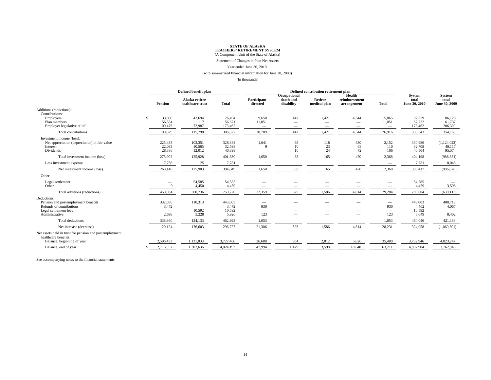Statement of Changes in Plan Net Assets

#### Year ended June 30, 2010

(with summarized financial information for June 30, 2009)

#### (In thousands)

|                                                                                                                           |     | Defined benefit plan                                  |                                                               |                                     | Defined contribution retirement plan                               |                                         |                                   |                                               |                                                                           |                                     |                                         |
|---------------------------------------------------------------------------------------------------------------------------|-----|-------------------------------------------------------|---------------------------------------------------------------|-------------------------------------|--------------------------------------------------------------------|-----------------------------------------|-----------------------------------|-----------------------------------------------|---------------------------------------------------------------------------|-------------------------------------|-----------------------------------------|
|                                                                                                                           |     | Pension                                               | Alaska retiree<br>healthcare trust                            | <b>Total</b>                        | Participant<br>directed                                            | Occupational<br>death and<br>disability | Retiree<br>medical plan           | <b>Health</b><br>reimbursement<br>arrangement | <b>Total</b>                                                              | System<br>total<br>June 30, 2010    | <b>System</b><br>total<br>June 30, 2009 |
| Additions (reductions):<br>Contributions:<br>Employers<br>Plan members                                                    | -\$ | 33,800<br>56,554                                      | 42,694<br>117                                                 | 76.494<br>56,671                    | 9,658<br>11,051                                                    | 442<br>$\overline{\phantom{0}}$         | 1,421<br>$\overline{\phantom{0}}$ | 4,344                                         | 15.865<br>11,051                                                          | 92,359<br>67,722                    | 86.128<br>61,737                        |
| Employer legislative relief                                                                                               |     | 100,475                                               | 72,987                                                        | 173,462                             | $\hspace{0.1mm}-\hspace{0.1mm}$                                    |                                         |                                   | $\overline{\phantom{a}}$                      | $\hspace{0.1mm}-\hspace{0.1mm}$                                           | 173,462                             | 206,300                                 |
| Total contributions                                                                                                       |     | 190,829                                               | 115,798                                                       | 306,627                             | 20,709                                                             | 442                                     | 1,421                             | 4,344                                         | 26,916                                                                    | 333,543                             | 354,165                                 |
| Investment income (loss):<br>Net appreciation (depreciation) in fair value<br>Interest<br>Dividends                       |     | 225,483<br>22,033<br>28,386                           | 103,351<br>10,565<br>12,012                                   | 328,834<br>32,598<br>40,398         | 1,641<br>$\overline{\phantom{m}}$                                  | 63<br>10<br>10                          | 118<br>23<br>24                   | 330<br>68<br>72                               | 2,152<br>110<br>106                                                       | 330,986<br>32,708<br>40,504         | (1,124,022)<br>40,117<br>95,074         |
| Total investment income (loss)                                                                                            |     | 275,902                                               | 125,928                                                       | 401,830                             | 1,650                                                              | 83                                      | 165                               | 470                                           | 2,368                                                                     | 404,198                             | (988, 831)                              |
| Less investment expense                                                                                                   |     | 7,756                                                 | 25                                                            | 7,781                               |                                                                    |                                         |                                   |                                               | $\qquad \qquad$                                                           | 7,781                               | 8,045                                   |
| Net investment income (loss)                                                                                              |     | 268,146                                               | 125,903                                                       | 394,049                             | 1,650                                                              | 83                                      | 165                               | 470                                           | 2,368                                                                     | 396,417                             | (996, 876)                              |
| Other:                                                                                                                    |     |                                                       |                                                               |                                     |                                                                    |                                         |                                   |                                               |                                                                           |                                     |                                         |
| Legal settlement<br>Other                                                                                                 |     | $\Omega$                                              | 54,585<br>4,450                                               | 54,585<br>4,459                     |                                                                    |                                         |                                   |                                               | $\overline{\phantom{a}}$<br>$\overline{\phantom{a}}$                      | 54,585<br>4,459                     | 3,598                                   |
| Total additions (reductions)                                                                                              |     | 458,984                                               | 300,736                                                       | 759,720                             | 22,359                                                             | 525                                     | 1,586                             | 4,814                                         | 29,284                                                                    | 789,004                             | (639, 113)                              |
| Deductions:<br>Pension and postemployment benefits<br>Refunds of contributions<br>Legal settlement fees<br>Administrative |     | 332,690<br>3,472<br>$\overline{\phantom{m}}$<br>2,698 | 110,313<br>$\hspace{0.1mm}-\hspace{0.1mm}$<br>10,592<br>3,228 | 443,003<br>3,472<br>10,592<br>5,926 | $\overline{\phantom{0}}$<br>930<br>$\overline{\phantom{0}}$<br>123 |                                         | $\overline{\phantom{a}}$          |                                               | $\hspace{0.1mm}-\hspace{0.1mm}$<br>930<br>$\overline{\phantom{m}}$<br>123 | 443,003<br>4,402<br>10,592<br>6,049 | 408,719<br>4,067<br>8,402               |
| Total deductions                                                                                                          |     | 338,860                                               | 124,133                                                       | 462,993                             | 1,053                                                              |                                         |                                   |                                               | 1,053                                                                     | 464,046                             | 421,188                                 |
| Net increase (decrease)                                                                                                   |     | 120,124                                               | 176,603                                                       | 296,727                             | 21,306                                                             | 525                                     | 1,586                             | 4,814                                         | 28,231                                                                    | 324,958                             | (1,060,301)                             |
| Net assets held in trust for pension and postemployment<br>healthcare benefits:<br>Balance, beginning of year             |     | 2,596,433                                             | 1,131,033                                                     | 3,727,466                           | 26,688                                                             | 954                                     | 2,012                             | 5,826                                         | 35,480                                                                    | 3,762,946                           | 4,823,247                               |
| Balance, end of year                                                                                                      |     | 2,716,557                                             | 1,307,636                                                     | 4,024,193                           | 47,994                                                             | 1,479                                   | 3,598                             | 10,640                                        | 63,711                                                                    | 4,087,904                           | 3,762,946                               |

See accompanying notes to the financial statements.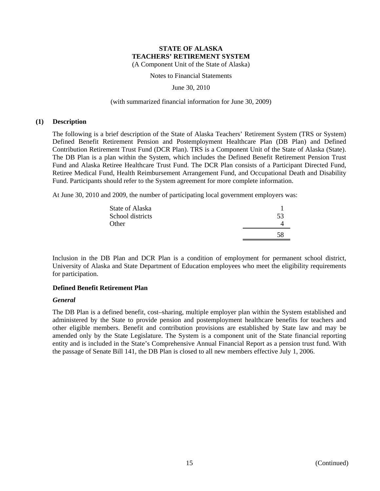Notes to Financial Statements

June 30, 2010

#### (with summarized financial information for June 30, 2009)

#### **(1) Description**

The following is a brief description of the State of Alaska Teachers' Retirement System (TRS or System) Defined Benefit Retirement Pension and Postemployment Healthcare Plan (DB Plan) and Defined Contribution Retirement Trust Fund (DCR Plan). TRS is a Component Unit of the State of Alaska (State). The DB Plan is a plan within the System, which includes the Defined Benefit Retirement Pension Trust Fund and Alaska Retiree Healthcare Trust Fund. The DCR Plan consists of a Participant Directed Fund, Retiree Medical Fund, Health Reimbursement Arrangement Fund, and Occupational Death and Disability Fund. Participants should refer to the System agreement for more complete information.

At June 30, 2010 and 2009, the number of participating local government employers was:

| State of Alaska  |    |
|------------------|----|
| School districts | 53 |
| Other            |    |
|                  | 58 |

Inclusion in the DB Plan and DCR Plan is a condition of employment for permanent school district, University of Alaska and State Department of Education employees who meet the eligibility requirements for participation.

#### **Defined Benefit Retirement Plan**

#### *General*

The DB Plan is a defined benefit, cost–sharing, multiple employer plan within the System established and administered by the State to provide pension and postemployment healthcare benefits for teachers and other eligible members. Benefit and contribution provisions are established by State law and may be amended only by the State Legislature. The System is a component unit of the State financial reporting entity and is included in the State's Comprehensive Annual Financial Report as a pension trust fund. With the passage of Senate Bill 141, the DB Plan is closed to all new members effective July 1, 2006.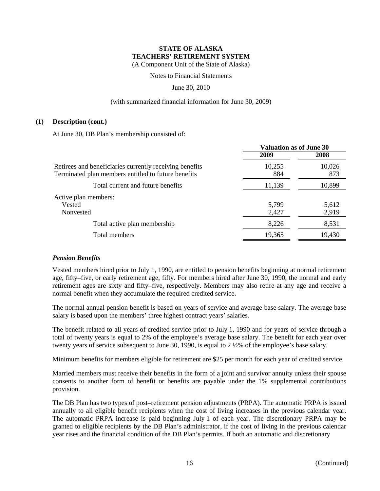Notes to Financial Statements

#### June 30, 2010

#### (with summarized financial information for June 30, 2009)

#### **(1) Description (cont.)**

At June 30, DB Plan's membership consisted of:

|                                                                                                                | <b>Valuation as of June 30</b> |               |  |
|----------------------------------------------------------------------------------------------------------------|--------------------------------|---------------|--|
|                                                                                                                | 2009                           | 2008          |  |
| Retirees and beneficiaries currently receiving benefits<br>Terminated plan members entitled to future benefits | 10,255<br>884                  | 10,026<br>873 |  |
| Total current and future benefits                                                                              | 11,139                         | 10,899        |  |
| Active plan members:                                                                                           |                                |               |  |
| Vested                                                                                                         | 5,799                          | 5,612         |  |
| Nonvested                                                                                                      | 2,427                          | 2,919         |  |
| Total active plan membership                                                                                   | 8,226                          | 8,531         |  |
| Total members                                                                                                  | 19,365                         | 19,430        |  |
|                                                                                                                |                                |               |  |

#### *Pension Benefits*

Vested members hired prior to July 1, 1990, are entitled to pension benefits beginning at normal retirement age, fifty–five, or early retirement age, fifty. For members hired after June 30, 1990, the normal and early retirement ages are sixty and fifty–five, respectively. Members may also retire at any age and receive a normal benefit when they accumulate the required credited service.

The normal annual pension benefit is based on years of service and average base salary. The average base salary is based upon the members' three highest contract years' salaries.

The benefit related to all years of credited service prior to July 1, 1990 and for years of service through a total of twenty years is equal to 2% of the employee's average base salary. The benefit for each year over twenty years of service subsequent to June 30, 1990, is equal to 2 ½% of the employee's base salary.

Minimum benefits for members eligible for retirement are \$25 per month for each year of credited service.

Married members must receive their benefits in the form of a joint and survivor annuity unless their spouse consents to another form of benefit or benefits are payable under the 1% supplemental contributions provision.

The DB Plan has two types of post–retirement pension adjustments (PRPA). The automatic PRPA is issued annually to all eligible benefit recipients when the cost of living increases in the previous calendar year. The automatic PRPA increase is paid beginning July 1 of each year. The discretionary PRPA may be granted to eligible recipients by the DB Plan's administrator, if the cost of living in the previous calendar year rises and the financial condition of the DB Plan's permits. If both an automatic and discretionary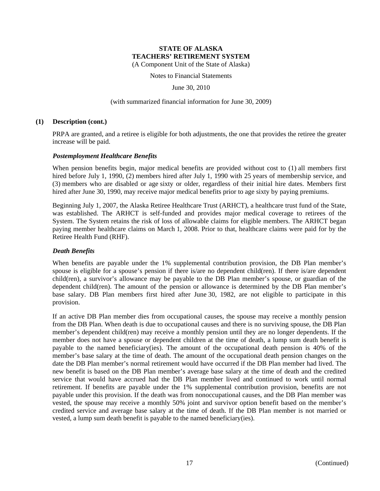Notes to Financial Statements

June 30, 2010

#### (with summarized financial information for June 30, 2009)

#### **(1) Description (cont.)**

PRPA are granted, and a retiree is eligible for both adjustments, the one that provides the retiree the greater increase will be paid.

#### *Postemployment Healthcare Benefits*

When pension benefits begin, major medical benefits are provided without cost to (1) all members first hired before July 1, 1990, (2) members hired after July 1, 1990 with 25 years of membership service, and (3) members who are disabled or age sixty or older, regardless of their initial hire dates. Members first hired after June 30, 1990, may receive major medical benefits prior to age sixty by paying premiums.

Beginning July 1, 2007, the Alaska Retiree Healthcare Trust (ARHCT), a healthcare trust fund of the State, was established. The ARHCT is self-funded and provides major medical coverage to retirees of the System. The System retains the risk of loss of allowable claims for eligible members. The ARHCT began paying member healthcare claims on March 1, 2008. Prior to that, healthcare claims were paid for by the Retiree Health Fund (RHF).

#### *Death Benefits*

When benefits are payable under the 1% supplemental contribution provision, the DB Plan member's spouse is eligible for a spouse's pension if there is/are no dependent child(ren). If there is/are dependent child(ren), a survivor's allowance may be payable to the DB Plan member's spouse, or guardian of the dependent child(ren). The amount of the pension or allowance is determined by the DB Plan member's base salary. DB Plan members first hired after June 30, 1982, are not eligible to participate in this provision.

If an active DB Plan member dies from occupational causes, the spouse may receive a monthly pension from the DB Plan. When death is due to occupational causes and there is no surviving spouse, the DB Plan member's dependent child(ren) may receive a monthly pension until they are no longer dependents. If the member does not have a spouse or dependent children at the time of death, a lump sum death benefit is payable to the named beneficiary(ies). The amount of the occupational death pension is 40% of the member's base salary at the time of death. The amount of the occupational death pension changes on the date the DB Plan member's normal retirement would have occurred if the DB Plan member had lived. The new benefit is based on the DB Plan member's average base salary at the time of death and the credited service that would have accrued had the DB Plan member lived and continued to work until normal retirement. If benefits are payable under the 1% supplemental contribution provision, benefits are not payable under this provision. If the death was from nonoccupational causes, and the DB Plan member was vested, the spouse may receive a monthly 50% joint and survivor option benefit based on the member's credited service and average base salary at the time of death. If the DB Plan member is not married or vested, a lump sum death benefit is payable to the named beneficiary(ies).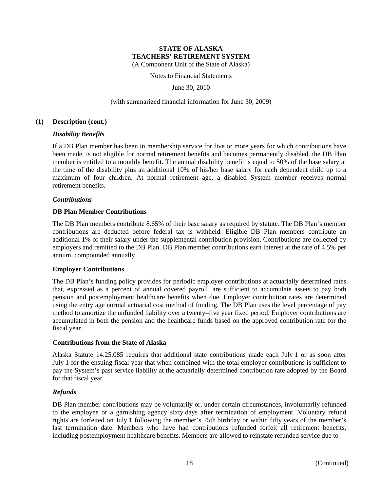Notes to Financial Statements

June 30, 2010

#### (with summarized financial information for June 30, 2009)

#### **(1) Description (cont.)**

#### *Disability Benefits*

If a DB Plan member has been in membership service for five or more years for which contributions have been made, is not eligible for normal retirement benefits and becomes permanently disabled, the DB Plan member is entitled to a monthly benefit. The annual disability benefit is equal to 50% of the base salary at the time of the disability plus an additional 10% of his/her base salary for each dependent child up to a maximum of four children. At normal retirement age, a disabled System member receives normal retirement benefits.

#### *Contributions*

#### **DB Plan Member Contributions**

The DB Plan members contribute 8.65% of their base salary as required by statute. The DB Plan's member contributions are deducted before federal tax is withheld. Eligible DB Plan members contribute an additional 1% of their salary under the supplemental contribution provision. Contributions are collected by employers and remitted to the DB Plan. DB Plan member contributions earn interest at the rate of 4.5% per annum, compounded annually.

#### **Employer Contributions**

The DB Plan's funding policy provides for periodic employer contributions at actuarially determined rates that, expressed as a percent of annual covered payroll, are sufficient to accumulate assets to pay both pension and postemployment healthcare benefits when due. Employer contribution rates are determined using the entry age normal actuarial cost method of funding. The DB Plan uses the level percentage of pay method to amortize the unfunded liability over a twenty–five year fixed period. Employer contributions are accumulated in both the pension and the healthcare funds based on the approved contribution rate for the fiscal year.

#### **Contributions from the State of Alaska**

Alaska Statute 14.25.085 requires that additional state contributions made each July 1 or as soon after July 1 for the ensuing fiscal year that when combined with the total employer contributions is sufficient to pay the System's past service liability at the actuarially determined contribution rate adopted by the Board for that fiscal year.

#### *Refunds*

DB Plan member contributions may be voluntarily or, under certain circumstances, involuntarily refunded to the employee or a garnishing agency sixty days after termination of employment. Voluntary refund rights are forfeited on July 1 following the member's 75th birthday or within fifty years of the member's last termination date. Members who have had contributions refunded forfeit all retirement benefits, including postemployment healthcare benefits. Members are allowed to reinstate refunded service due to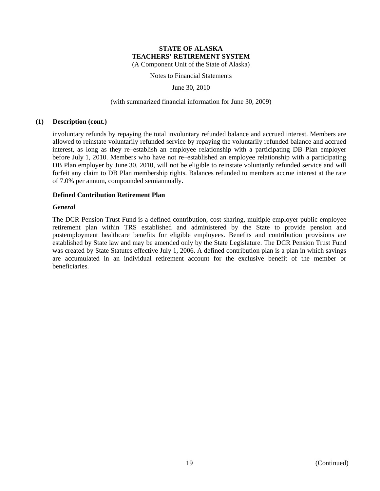Notes to Financial Statements

June 30, 2010

#### (with summarized financial information for June 30, 2009)

#### **(1) Description (cont.)**

involuntary refunds by repaying the total involuntary refunded balance and accrued interest. Members are allowed to reinstate voluntarily refunded service by repaying the voluntarily refunded balance and accrued interest, as long as they re–establish an employee relationship with a participating DB Plan employer before July 1, 2010. Members who have not re–established an employee relationship with a participating DB Plan employer by June 30, 2010, will not be eligible to reinstate voluntarily refunded service and will forfeit any claim to DB Plan membership rights. Balances refunded to members accrue interest at the rate of 7.0% per annum, compounded semiannually.

#### **Defined Contribution Retirement Plan**

#### *General*

The DCR Pension Trust Fund is a defined contribution, cost-sharing, multiple employer public employee retirement plan within TRS established and administered by the State to provide pension and postemployment healthcare benefits for eligible employees. Benefits and contribution provisions are established by State law and may be amended only by the State Legislature. The DCR Pension Trust Fund was created by State Statutes effective July 1, 2006. A defined contribution plan is a plan in which savings are accumulated in an individual retirement account for the exclusive benefit of the member or beneficiaries.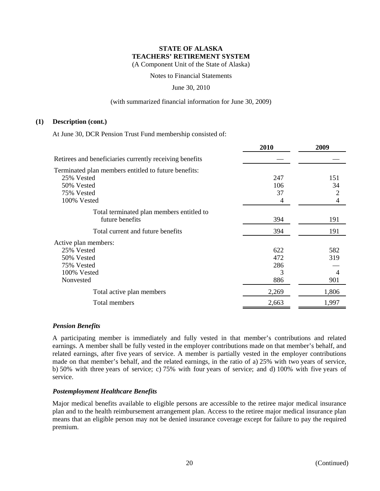Notes to Financial Statements

#### June 30, 2010

#### (with summarized financial information for June 30, 2009)

#### **(1) Description (cont.)**

At June 30, DCR Pension Trust Fund membership consisted of:

|                                                                                                               | 2010                          | 2009                                          |
|---------------------------------------------------------------------------------------------------------------|-------------------------------|-----------------------------------------------|
| Retirees and beneficiaries currently receiving benefits                                                       |                               |                                               |
| Terminated plan members entitled to future benefits:<br>25% Vested<br>50% Vested<br>75% Vested<br>100% Vested | 247<br>106<br>37<br>4         | 151<br>34<br>$\overline{2}$<br>$\overline{4}$ |
| Total terminated plan members entitled to<br>future benefits                                                  | 394                           | 191                                           |
| Total current and future benefits                                                                             | 394                           | 191                                           |
| Active plan members:<br>25% Vested<br>50% Vested<br>75% Vested<br>100% Vested<br>Nonvested                    | 622<br>472<br>286<br>3<br>886 | 582<br>319<br>$\overline{4}$<br>901           |
| Total active plan members                                                                                     | 2,269                         | 1,806                                         |
| Total members                                                                                                 | 2,663                         | 1,997                                         |

#### *Pension Benefits*

A participating member is immediately and fully vested in that member's contributions and related earnings. A member shall be fully vested in the employer contributions made on that member's behalf, and related earnings, after five years of service. A member is partially vested in the employer contributions made on that member's behalf, and the related earnings, in the ratio of a) 25% with two years of service, b) 50% with three years of service; c) 75% with four years of service; and d) 100% with five years of service.

#### *Postemployment Healthcare Benefits*

Major medical benefits available to eligible persons are accessible to the retiree major medical insurance plan and to the health reimbursement arrangement plan. Access to the retiree major medical insurance plan means that an eligible person may not be denied insurance coverage except for failure to pay the required premium.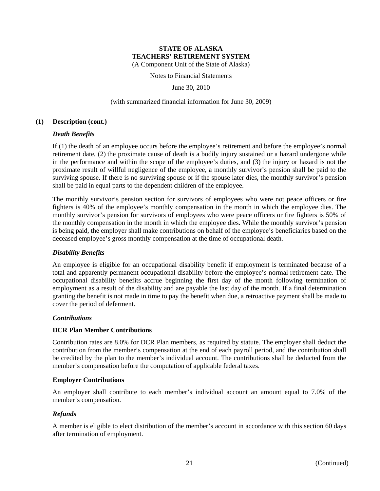Notes to Financial Statements

June 30, 2010

#### (with summarized financial information for June 30, 2009)

#### **(1) Description (cont.)**

#### *Death Benefits*

If (1) the death of an employee occurs before the employee's retirement and before the employee's normal retirement date, (2) the proximate cause of death is a bodily injury sustained or a hazard undergone while in the performance and within the scope of the employee's duties, and (3) the injury or hazard is not the proximate result of willful negligence of the employee, a monthly survivor's pension shall be paid to the surviving spouse. If there is no surviving spouse or if the spouse later dies, the monthly survivor's pension shall be paid in equal parts to the dependent children of the employee.

The monthly survivor's pension section for survivors of employees who were not peace officers or fire fighters is 40% of the employee's monthly compensation in the month in which the employee dies. The monthly survivor's pension for survivors of employees who were peace officers or fire fighters is 50% of the monthly compensation in the month in which the employee dies. While the monthly survivor's pension is being paid, the employer shall make contributions on behalf of the employee's beneficiaries based on the deceased employee's gross monthly compensation at the time of occupational death.

#### *Disability Benefits*

An employee is eligible for an occupational disability benefit if employment is terminated because of a total and apparently permanent occupational disability before the employee's normal retirement date. The occupational disability benefits accrue beginning the first day of the month following termination of employment as a result of the disability and are payable the last day of the month. If a final determination granting the benefit is not made in time to pay the benefit when due, a retroactive payment shall be made to cover the period of deferment.

#### *Contributions*

#### **DCR Plan Member Contributions**

Contribution rates are 8.0% for DCR Plan members, as required by statute. The employer shall deduct the contribution from the member's compensation at the end of each payroll period, and the contribution shall be credited by the plan to the member's individual account. The contributions shall be deducted from the member's compensation before the computation of applicable federal taxes.

#### **Employer Contributions**

An employer shall contribute to each member's individual account an amount equal to 7.0% of the member's compensation.

#### *Refunds*

A member is eligible to elect distribution of the member's account in accordance with this section 60 days after termination of employment.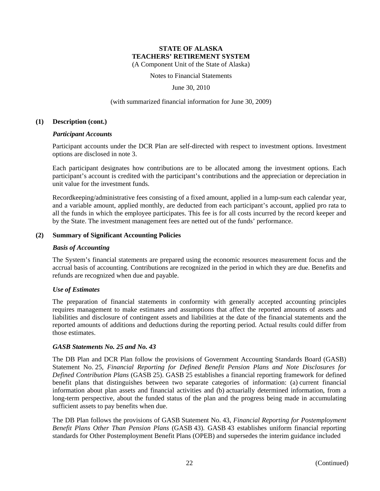Notes to Financial Statements

June 30, 2010

#### (with summarized financial information for June 30, 2009)

#### **(1) Description (cont.)**

#### *Participant Accounts*

Participant accounts under the DCR Plan are self-directed with respect to investment options. Investment options are disclosed in note 3.

Each participant designates how contributions are to be allocated among the investment options. Each participant's account is credited with the participant's contributions and the appreciation or depreciation in unit value for the investment funds.

Recordkeeping/administrative fees consisting of a fixed amount, applied in a lump-sum each calendar year, and a variable amount, applied monthly, are deducted from each participant's account, applied pro rata to all the funds in which the employee participates. This fee is for all costs incurred by the record keeper and by the State. The investment management fees are netted out of the funds' performance.

#### **(2) Summary of Significant Accounting Policies**

#### *Basis of Accounting*

The System's financial statements are prepared using the economic resources measurement focus and the accrual basis of accounting. Contributions are recognized in the period in which they are due. Benefits and refunds are recognized when due and payable.

#### *Use of Estimates*

The preparation of financial statements in conformity with generally accepted accounting principles requires management to make estimates and assumptions that affect the reported amounts of assets and liabilities and disclosure of contingent assets and liabilities at the date of the financial statements and the reported amounts of additions and deductions during the reporting period. Actual results could differ from those estimates.

#### *GASB Statements No. 25 and No. 43*

The DB Plan and DCR Plan follow the provisions of Government Accounting Standards Board (GASB) Statement No. 25, *Financial Reporting for Defined Benefit Pension Plans and Note Disclosures for Defined Contribution Plans* (GASB 25). GASB 25 establishes a financial reporting framework for defined benefit plans that distinguishes between two separate categories of information: (a) current financial information about plan assets and financial activities and (b) actuarially determined information, from a long-term perspective, about the funded status of the plan and the progress being made in accumulating sufficient assets to pay benefits when due.

The DB Plan follows the provisions of GASB Statement No. 43, *Financial Reporting for Postemployment Benefit Plans Other Than Pension Plans* (GASB 43). GASB 43 establishes uniform financial reporting standards for Other Postemployment Benefit Plans (OPEB) and supersedes the interim guidance included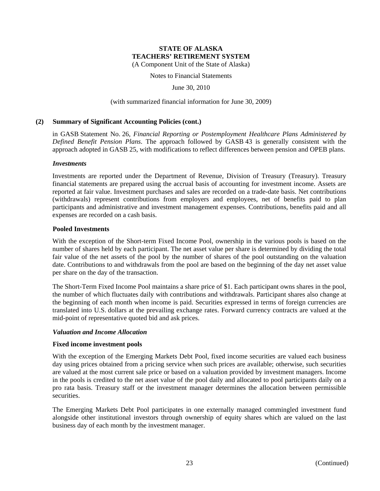Notes to Financial Statements

June 30, 2010

#### (with summarized financial information for June 30, 2009)

#### **(2) Summary of Significant Accounting Policies (cont.)**

in GASB Statement No. 26, *Financial Reporting or Postemployment Healthcare Plans Administered by Defined Benefit Pension Plans*. The approach followed by GASB 43 is generally consistent with the approach adopted in GASB 25, with modifications to reflect differences between pension and OPEB plans.

#### *Investments*

Investments are reported under the Department of Revenue, Division of Treasury (Treasury). Treasury financial statements are prepared using the accrual basis of accounting for investment income. Assets are reported at fair value. Investment purchases and sales are recorded on a trade-date basis. Net contributions (withdrawals) represent contributions from employers and employees, net of benefits paid to plan participants and administrative and investment management expenses. Contributions, benefits paid and all expenses are recorded on a cash basis.

#### **Pooled Investments**

With the exception of the Short-term Fixed Income Pool, ownership in the various pools is based on the number of shares held by each participant. The net asset value per share is determined by dividing the total fair value of the net assets of the pool by the number of shares of the pool outstanding on the valuation date. Contributions to and withdrawals from the pool are based on the beginning of the day net asset value per share on the day of the transaction.

The Short-Term Fixed Income Pool maintains a share price of \$1. Each participant owns shares in the pool, the number of which fluctuates daily with contributions and withdrawals. Participant shares also change at the beginning of each month when income is paid. Securities expressed in terms of foreign currencies are translated into U.S. dollars at the prevailing exchange rates. Forward currency contracts are valued at the mid-point of representative quoted bid and ask prices.

#### *Valuation and Income Allocation*

#### **Fixed income investment pools**

With the exception of the Emerging Markets Debt Pool, fixed income securities are valued each business day using prices obtained from a pricing service when such prices are available; otherwise, such securities are valued at the most current sale price or based on a valuation provided by investment managers. Income in the pools is credited to the net asset value of the pool daily and allocated to pool participants daily on a pro rata basis. Treasury staff or the investment manager determines the allocation between permissible securities.

The Emerging Markets Debt Pool participates in one externally managed commingled investment fund alongside other institutional investors through ownership of equity shares which are valued on the last business day of each month by the investment manager.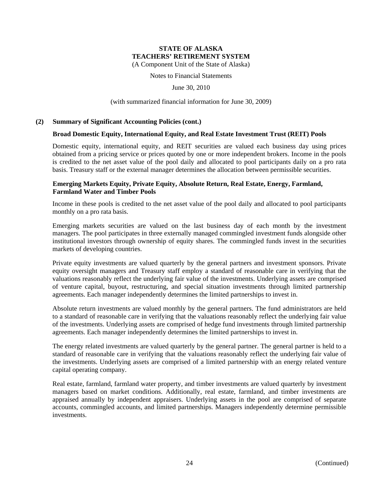Notes to Financial Statements

June 30, 2010

(with summarized financial information for June 30, 2009)

#### **(2) Summary of Significant Accounting Policies (cont.)**

#### **Broad Domestic Equity, International Equity, and Real Estate Investment Trust (REIT) Pools**

Domestic equity, international equity, and REIT securities are valued each business day using prices obtained from a pricing service or prices quoted by one or more independent brokers. Income in the pools is credited to the net asset value of the pool daily and allocated to pool participants daily on a pro rata basis. Treasury staff or the external manager determines the allocation between permissible securities.

#### **Emerging Markets Equity, Private Equity, Absolute Return, Real Estate, Energy, Farmland, Farmland Water and Timber Pools**

Income in these pools is credited to the net asset value of the pool daily and allocated to pool participants monthly on a pro rata basis.

Emerging markets securities are valued on the last business day of each month by the investment managers. The pool participates in three externally managed commingled investment funds alongside other institutional investors through ownership of equity shares. The commingled funds invest in the securities markets of developing countries.

Private equity investments are valued quarterly by the general partners and investment sponsors. Private equity oversight managers and Treasury staff employ a standard of reasonable care in verifying that the valuations reasonably reflect the underlying fair value of the investments. Underlying assets are comprised of venture capital, buyout, restructuring, and special situation investments through limited partnership agreements. Each manager independently determines the limited partnerships to invest in.

Absolute return investments are valued monthly by the general partners. The fund administrators are held to a standard of reasonable care in verifying that the valuations reasonably reflect the underlying fair value of the investments. Underlying assets are comprised of hedge fund investments through limited partnership agreements. Each manager independently determines the limited partnerships to invest in.

The energy related investments are valued quarterly by the general partner. The general partner is held to a standard of reasonable care in verifying that the valuations reasonably reflect the underlying fair value of the investments. Underlying assets are comprised of a limited partnership with an energy related venture capital operating company.

Real estate, farmland, farmland water property, and timber investments are valued quarterly by investment managers based on market conditions. Additionally, real estate, farmland, and timber investments are appraised annually by independent appraisers. Underlying assets in the pool are comprised of separate accounts, commingled accounts, and limited partnerships. Managers independently determine permissible investments.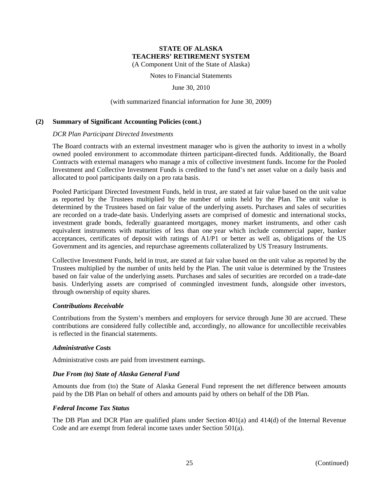Notes to Financial Statements

June 30, 2010

#### (with summarized financial information for June 30, 2009)

#### **(2) Summary of Significant Accounting Policies (cont.)**

#### *DCR Plan Participant Directed Investments*

The Board contracts with an external investment manager who is given the authority to invest in a wholly owned pooled environment to accommodate thirteen participant-directed funds. Additionally, the Board Contracts with external managers who manage a mix of collective investment funds. Income for the Pooled Investment and Collective Investment Funds is credited to the fund's net asset value on a daily basis and allocated to pool participants daily on a pro rata basis.

Pooled Participant Directed Investment Funds, held in trust, are stated at fair value based on the unit value as reported by the Trustees multiplied by the number of units held by the Plan. The unit value is determined by the Trustees based on fair value of the underlying assets. Purchases and sales of securities are recorded on a trade-date basis. Underlying assets are comprised of domestic and international stocks, investment grade bonds, federally guaranteed mortgages, money market instruments, and other cash equivalent instruments with maturities of less than one year which include commercial paper, banker acceptances, certificates of deposit with ratings of A1/P1 or better as well as, obligations of the US Government and its agencies, and repurchase agreements collateralized by US Treasury Instruments.

Collective Investment Funds, held in trust, are stated at fair value based on the unit value as reported by the Trustees multiplied by the number of units held by the Plan. The unit value is determined by the Trustees based on fair value of the underlying assets. Purchases and sales of securities are recorded on a trade-date basis. Underlying assets are comprised of commingled investment funds, alongside other investors, through ownership of equity shares.

#### *Contributions Receivable*

Contributions from the System's members and employers for service through June 30 are accrued. These contributions are considered fully collectible and, accordingly, no allowance for uncollectible receivables is reflected in the financial statements.

#### *Administrative Costs*

Administrative costs are paid from investment earnings.

#### *Due From (to) State of Alaska General Fund*

Amounts due from (to) the State of Alaska General Fund represent the net difference between amounts paid by the DB Plan on behalf of others and amounts paid by others on behalf of the DB Plan.

#### *Federal Income Tax Status*

The DB Plan and DCR Plan are qualified plans under Section 401(a) and 414(d) of the Internal Revenue Code and are exempt from federal income taxes under Section 501(a).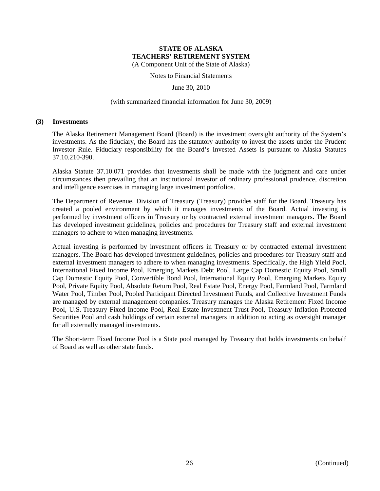Notes to Financial Statements

June 30, 2010

#### (with summarized financial information for June 30, 2009)

#### **(3) Investments**

The Alaska Retirement Management Board (Board) is the investment oversight authority of the System's investments. As the fiduciary, the Board has the statutory authority to invest the assets under the Prudent Investor Rule. Fiduciary responsibility for the Board's Invested Assets is pursuant to Alaska Statutes 37.10.210-390.

Alaska Statute 37.10.071 provides that investments shall be made with the judgment and care under circumstances then prevailing that an institutional investor of ordinary professional prudence, discretion and intelligence exercises in managing large investment portfolios.

The Department of Revenue, Division of Treasury (Treasury) provides staff for the Board. Treasury has created a pooled environment by which it manages investments of the Board. Actual investing is performed by investment officers in Treasury or by contracted external investment managers. The Board has developed investment guidelines, policies and procedures for Treasury staff and external investment managers to adhere to when managing investments.

Actual investing is performed by investment officers in Treasury or by contracted external investment managers. The Board has developed investment guidelines, policies and procedures for Treasury staff and external investment managers to adhere to when managing investments. Specifically, the High Yield Pool, International Fixed Income Pool, Emerging Markets Debt Pool, Large Cap Domestic Equity Pool, Small Cap Domestic Equity Pool, Convertible Bond Pool, International Equity Pool, Emerging Markets Equity Pool, Private Equity Pool, Absolute Return Pool, Real Estate Pool, Energy Pool, Farmland Pool, Farmland Water Pool, Timber Pool, Pooled Participant Directed Investment Funds, and Collective Investment Funds are managed by external management companies. Treasury manages the Alaska Retirement Fixed Income Pool, U.S. Treasury Fixed Income Pool, Real Estate Investment Trust Pool, Treasury Inflation Protected Securities Pool and cash holdings of certain external managers in addition to acting as oversight manager for all externally managed investments.

The Short-term Fixed Income Pool is a State pool managed by Treasury that holds investments on behalf of Board as well as other state funds.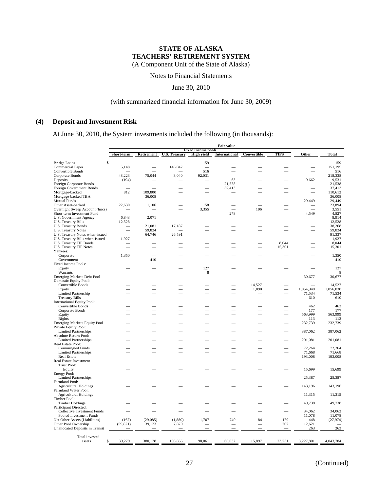Notes to Financial Statements

June 30, 2010

#### (with summarized financial information for June 30, 2009)

#### **(4) Deposit and Investment Risk**

At June 30, 2010, the System investments included the following (in thousands):

|                                                            | <b>Fair value</b> |                   |                      |                                                |                      |             |                          |                          |                   |
|------------------------------------------------------------|-------------------|-------------------|----------------------|------------------------------------------------|----------------------|-------------|--------------------------|--------------------------|-------------------|
|                                                            | Short-term        | <b>Retirement</b> | <b>U.S. Treasury</b> | <b>Fixed income pools</b><br><b>High yield</b> | <b>International</b> | Convertible | <b>TIPS</b>              | Other                    | <b>Total</b>      |
| \$<br><b>Bridge Loans</b>                                  |                   |                   |                      | 159                                            |                      |             |                          |                          | 159               |
| <b>Commercial Paper</b>                                    | 5,148             |                   | 146,047              |                                                |                      |             |                          |                          | 151,195           |
| Convertible Bonds                                          |                   |                   |                      | 516                                            |                      |             |                          |                          | 516               |
| Corporate Bonds                                            | 48,223            | 75,044            | 3,040                | 92,031                                         |                      |             |                          |                          | 218,338           |
| Deposits                                                   | (194)             |                   |                      |                                                | 63                   |             |                          | 9,662                    | 9,531             |
| Foreign Corporate Bonds                                    |                   |                   |                      |                                                | 21,538               |             | a.                       |                          | 21,538            |
| Foreign Government Bonds                                   |                   |                   |                      |                                                | 37,413               |             |                          |                          | 37,413            |
| Mortgage-backed<br>Mortgage-backed TBA                     | 812               | 109,800<br>36,008 |                      |                                                |                      |             | -                        |                          | 110,612<br>36,008 |
| <b>Mutual Funds</b>                                        |                   |                   |                      |                                                |                      |             |                          | 29,449                   | 29.449            |
| Other Asset-backed                                         | 22,630            | 1,106             |                      | 158                                            |                      |             |                          |                          | 23,894            |
| Overnight Sweep Account (Imcs)                             |                   |                   |                      | 3,355                                          |                      | 196         | ÷.                       | $\overline{\phantom{0}}$ | 3,551             |
| Short-term Investment Fund                                 |                   |                   |                      |                                                | 278                  |             |                          | 4,549                    | 4,827             |
| <b>U.S. Government Agency</b>                              | 6,843             | 2,071             |                      |                                                |                      |             |                          |                          | 8,914             |
| U.S. Treasury Bills                                        | 12,528            |                   |                      |                                                |                      |             |                          |                          | 12,528            |
| <b>U.S. Treasury Bonds</b>                                 |                   | 21.081            | 17.187               |                                                |                      |             |                          |                          | 38,268            |
| <b>U.S. Treasury Notes</b>                                 |                   | 59,824            |                      |                                                |                      |             |                          |                          | 59,824            |
| U.S. Treasury Notes when-issued                            |                   | 64,746            | 26,591               |                                                |                      | and a       | $\overline{\phantom{0}}$ |                          | 91,337            |
| U.S. Treasury Bills when-issued                            | 1,927             |                   |                      |                                                |                      |             |                          |                          | 1,927             |
| <b>U.S. Treasury TIP Bonds</b>                             |                   |                   |                      |                                                |                      |             | 8,044                    |                          | 8,044             |
| <b>U.S. Treasury TIP Notes</b><br>Yankees:                 |                   |                   |                      |                                                |                      |             | 15,301                   |                          | 15,301            |
| Corporate                                                  | 1,350             |                   |                      |                                                |                      |             |                          |                          | 1,350             |
| Government                                                 |                   | 410               |                      |                                                |                      |             |                          |                          | 410               |
| Fixed Income Pools:                                        |                   |                   |                      |                                                |                      |             |                          |                          |                   |
| Equity                                                     |                   |                   |                      | 127                                            |                      |             |                          |                          | 127               |
| Warrants                                                   |                   |                   |                      | 8                                              |                      |             |                          |                          | 8                 |
| <b>Emerging Markets Debt Pool</b>                          |                   |                   |                      |                                                |                      |             |                          | 30,677                   | 30,677            |
| Domestic Equity Pool:                                      |                   |                   |                      |                                                |                      |             |                          |                          |                   |
| Convertible Bonds                                          |                   |                   |                      |                                                |                      | 14,527      |                          |                          | 14,527            |
| Equity                                                     |                   |                   |                      |                                                |                      | 1,090       |                          | 1,054,940                | 1,056,030         |
| Limited Partnership                                        |                   |                   |                      |                                                |                      |             | $\overline{\phantom{a}}$ | 71,534                   | 71,534            |
| <b>Treasury Bills</b><br><b>International Equity Pool:</b> |                   |                   |                      |                                                |                      |             |                          | 610                      | 610               |
| Convertible Bonds                                          |                   |                   |                      |                                                |                      |             |                          | 462                      | 462               |
| Corporate Bonds                                            |                   |                   |                      |                                                |                      |             |                          | 177                      | 177               |
| Equity                                                     |                   |                   |                      |                                                |                      |             |                          | 563,999                  | 563,999           |
| Rights                                                     |                   |                   |                      |                                                |                      |             |                          | 113                      | 113               |
| <b>Emerging Markets Equity Pool</b>                        |                   |                   |                      |                                                |                      |             |                          | 232,739                  | 232,739           |
| Private Equity Pool:                                       |                   |                   |                      |                                                |                      |             |                          |                          |                   |
| <b>Limited Partnerships</b>                                |                   |                   |                      |                                                |                      |             |                          | 387,062                  | 387,062           |
| Absolute Return Pool:                                      |                   |                   |                      |                                                |                      |             |                          |                          |                   |
| <b>Limited Partnerships</b>                                |                   |                   |                      |                                                |                      |             |                          | 201,081                  | 201,081           |
| Real Estate Pool:                                          |                   |                   |                      |                                                |                      |             |                          |                          |                   |
| <b>Commingled Funds</b><br><b>Limited Partnerships</b>     |                   |                   |                      |                                                |                      |             |                          | 72,264<br>71,668         | 72,264<br>71,668  |
| <b>Real Estate</b>                                         |                   |                   |                      |                                                |                      |             |                          | 193,008                  | 193,008           |
| <b>Real Estate Investment</b>                              |                   |                   |                      |                                                |                      |             |                          |                          |                   |
| <b>Trust Pool:</b>                                         |                   |                   |                      |                                                |                      |             |                          |                          |                   |
| Equity                                                     |                   |                   |                      |                                                |                      |             |                          | 15,699                   | 15,699            |
| <b>Energy Pool:</b>                                        |                   |                   |                      |                                                |                      |             |                          |                          |                   |
| <b>Limited Partnerships</b>                                |                   |                   |                      |                                                |                      |             |                          | 25,387                   | 25,387            |
| Farmland Pool:                                             |                   |                   |                      |                                                |                      |             |                          |                          |                   |
| <b>Agricultural Holdings</b>                               |                   |                   |                      |                                                |                      |             |                          | 143,196                  | 143,196           |
| Farmland Water Pool:                                       |                   |                   |                      |                                                |                      |             |                          |                          |                   |
| <b>Agricultural Holdings</b>                               |                   |                   |                      |                                                |                      |             |                          | 11,315                   | 11,315            |
| Timber Pool:<br><b>Timber Holdings</b>                     |                   |                   |                      |                                                |                      |             |                          | 49,738                   | 49,738            |
| Participant Directed:                                      |                   |                   |                      |                                                |                      |             |                          |                          |                   |
| <b>Collective Investment Funds</b>                         |                   |                   |                      |                                                |                      |             |                          | 34,062                   | 34,062            |
| Pooled Investment Funds                                    |                   |                   |                      |                                                |                      |             |                          | 11,078                   | 11,078            |
| Net Other Assets (Liabilities)                             | (167)             | (29, 085)         | (1,880)              | 1,707                                          | 740                  | 84          | 179                      | 448                      | (27, 974)         |
| Other Pool Ownership                                       | (59, 821)         | 39,123            | 7,870                |                                                |                      |             | 207                      | 12,621                   |                   |
| <b>Unallocated Deposits in Transit</b>                     |                   |                   |                      |                                                |                      |             |                          | 263                      | 263               |
|                                                            |                   |                   |                      |                                                |                      |             |                          |                          |                   |
| Total invested                                             |                   |                   |                      |                                                |                      |             |                          |                          |                   |
| assets<br>\$                                               | 39,279            | 380,128           | 198,855              | 98,061                                         | 60,032               | 15,897      | 23,731                   | 3,227,801                | 4,043,784         |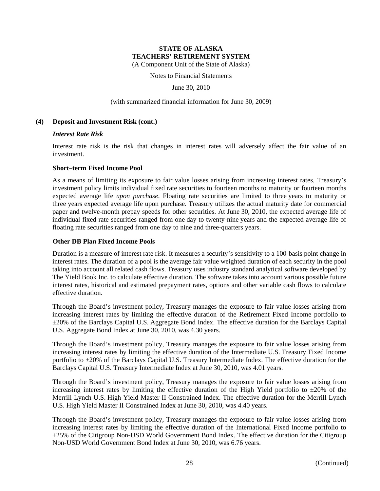Notes to Financial Statements

June 30, 2010

#### (with summarized financial information for June 30, 2009)

#### **(4) Deposit and Investment Risk (cont.)**

#### *Interest Rate Risk*

Interest rate risk is the risk that changes in interest rates will adversely affect the fair value of an investment.

#### **Short–term Fixed Income Pool**

As a means of limiting its exposure to fair value losses arising from increasing interest rates, Treasury's investment policy limits individual fixed rate securities to fourteen months to maturity or fourteen months expected average life *upon purchase*. Floating rate securities are limited to three years to maturity or three years expected average life upon purchase. Treasury utilizes the actual maturity date for commercial paper and twelve-month prepay speeds for other securities. At June 30, 2010, the expected average life of individual fixed rate securities ranged from one day to twenty-nine years and the expected average life of floating rate securities ranged from one day to nine and three-quarters years.

#### **Other DB Plan Fixed Income Pools**

Duration is a measure of interest rate risk. It measures a security's sensitivity to a 100-basis point change in interest rates. The duration of a pool is the average fair value weighted duration of each security in the pool taking into account all related cash flows. Treasury uses industry standard analytical software developed by The Yield Book Inc. to calculate effective duration. The software takes into account various possible future interest rates, historical and estimated prepayment rates, options and other variable cash flows to calculate effective duration.

Through the Board's investment policy, Treasury manages the exposure to fair value losses arising from increasing interest rates by limiting the effective duration of the Retirement Fixed Income portfolio to ±20% of the Barclays Capital U.S. Aggregate Bond Index. The effective duration for the Barclays Capital U.S. Aggregate Bond Index at June 30, 2010, was 4.30 years.

Through the Board's investment policy, Treasury manages the exposure to fair value losses arising from increasing interest rates by limiting the effective duration of the Intermediate U.S. Treasury Fixed Income portfolio to ±20% of the Barclays Capital U.S. Treasury Intermediate Index. The effective duration for the Barclays Capital U.S. Treasury Intermediate Index at June 30, 2010, was 4.01 years.

Through the Board's investment policy, Treasury manages the exposure to fair value losses arising from increasing interest rates by limiting the effective duration of the High Yield portfolio to  $\pm 20\%$  of the Merrill Lynch U.S. High Yield Master II Constrained Index. The effective duration for the Merrill Lynch U.S. High Yield Master II Constrained Index at June 30, 2010, was 4.40 years.

Through the Board's investment policy, Treasury manages the exposure to fair value losses arising from increasing interest rates by limiting the effective duration of the International Fixed Income portfolio to ±25% of the Citigroup Non-USD World Government Bond Index. The effective duration for the Citigroup Non-USD World Government Bond Index at June 30, 2010, was 6.76 years.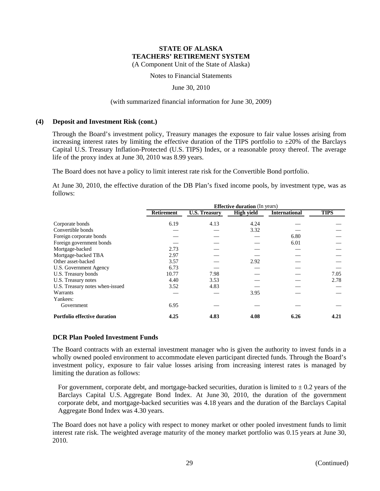Notes to Financial Statements

June 30, 2010

#### (with summarized financial information for June 30, 2009)

#### **(4) Deposit and Investment Risk (cont.)**

Through the Board's investment policy, Treasury manages the exposure to fair value losses arising from increasing interest rates by limiting the effective duration of the TIPS portfolio to  $\pm 20\%$  of the Barclays Capital U.S. Treasury Inflation-Protected (U.S. TIPS) Index, or a reasonable proxy thereof. The average life of the proxy index at June 30, 2010 was 8.99 years.

The Board does not have a policy to limit interest rate risk for the Convertible Bond portfolio.

At June 30, 2010, the effective duration of the DB Plan's fixed income pools, by investment type, was as follows:

|                                     | <b>Effective duration</b> (In years) |                      |                   |                      |             |  |
|-------------------------------------|--------------------------------------|----------------------|-------------------|----------------------|-------------|--|
|                                     | <b>Retirement</b>                    | <b>U.S. Treasury</b> | <b>High yield</b> | <b>International</b> | <b>TIPS</b> |  |
| Corporate bonds                     | 6.19                                 | 4.13                 | 4.24              |                      |             |  |
| Convertible bonds                   |                                      |                      | 3.32              |                      |             |  |
| Foreign corporate bonds             |                                      |                      |                   | 6.80                 |             |  |
| Foreign government bonds            |                                      |                      |                   | 6.01                 |             |  |
| Mortgage-backed                     | 2.73                                 |                      |                   |                      |             |  |
| Mortgage-backed TBA                 | 2.97                                 |                      |                   |                      |             |  |
| Other asset-backed                  | 3.57                                 |                      | 2.92              |                      |             |  |
| U.S. Government Agency              | 6.73                                 |                      |                   |                      |             |  |
| U.S. Treasury bonds                 | 10.77                                | 7.98                 |                   |                      | 7.05        |  |
| U.S. Treasury notes                 | 4.40                                 | 3.53                 |                   |                      | 2.78        |  |
| U.S. Treasury notes when-issued     | 3.52                                 | 4.83                 |                   |                      |             |  |
| Warrants                            |                                      |                      | 3.95              |                      |             |  |
| Yankees:                            |                                      |                      |                   |                      |             |  |
| Government                          | 6.95                                 |                      |                   |                      |             |  |
| <b>Portfolio effective duration</b> | 4.25                                 | 4.83                 | 4.08              | 6.26                 | 4.21        |  |

#### **DCR Plan Pooled Investment Funds**

The Board contracts with an external investment manager who is given the authority to invest funds in a wholly owned pooled environment to accommodate eleven participant directed funds. Through the Board's investment policy, exposure to fair value losses arising from increasing interest rates is managed by limiting the duration as follows:

For government, corporate debt, and mortgage-backed securities, duration is limited to  $\pm$  0.2 years of the Barclays Capital U.S. Aggregate Bond Index. At June 30, 2010, the duration of the government corporate debt, and mortgage-backed securities was 4.18 years and the duration of the Barclays Capital Aggregate Bond Index was 4.30 years.

The Board does not have a policy with respect to money market or other pooled investment funds to limit interest rate risk. The weighted average maturity of the money market portfolio was 0.15 years at June 30, 2010.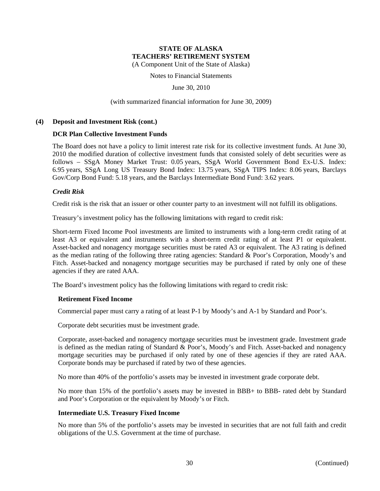Notes to Financial Statements

June 30, 2010

(with summarized financial information for June 30, 2009)

#### **(4) Deposit and Investment Risk (cont.)**

#### **DCR Plan Collective Investment Funds**

The Board does not have a policy to limit interest rate risk for its collective investment funds. At June 30, 2010 the modified duration of collective investment funds that consisted solely of debt securities were as follows – SSgA Money Market Trust: 0.05 years, SSgA World Government Bond Ex-U.S. Index: 6.95 years, SSgA Long US Treasury Bond Index: 13.75 years, SSgA TIPS Index: 8.06 years, Barclays Gov/Corp Bond Fund: 5.18 years, and the Barclays Intermediate Bond Fund: 3.62 years.

#### *Credit Risk*

Credit risk is the risk that an issuer or other counter party to an investment will not fulfill its obligations.

Treasury's investment policy has the following limitations with regard to credit risk:

Short-term Fixed Income Pool investments are limited to instruments with a long-term credit rating of at least A3 or equivalent and instruments with a short-term credit rating of at least P1 or equivalent. Asset-backed and nonagency mortgage securities must be rated A3 or equivalent. The A3 rating is defined as the median rating of the following three rating agencies: Standard & Poor's Corporation, Moody's and Fitch. Asset-backed and nonagency mortgage securities may be purchased if rated by only one of these agencies if they are rated AAA.

The Board's investment policy has the following limitations with regard to credit risk:

#### **Retirement Fixed Income**

Commercial paper must carry a rating of at least P-1 by Moody's and A-1 by Standard and Poor's.

Corporate debt securities must be investment grade.

Corporate, asset-backed and nonagency mortgage securities must be investment grade. Investment grade is defined as the median rating of Standard & Poor's, Moody's and Fitch. Asset-backed and nonagency mortgage securities may be purchased if only rated by one of these agencies if they are rated AAA. Corporate bonds may be purchased if rated by two of these agencies.

No more than 40% of the portfolio's assets may be invested in investment grade corporate debt.

No more than 15% of the portfolio's assets may be invested in BBB+ to BBB- rated debt by Standard and Poor's Corporation or the equivalent by Moody's or Fitch.

#### **Intermediate U.S. Treasury Fixed Income**

No more than 5% of the portfolio's assets may be invested in securities that are not full faith and credit obligations of the U.S. Government at the time of purchase.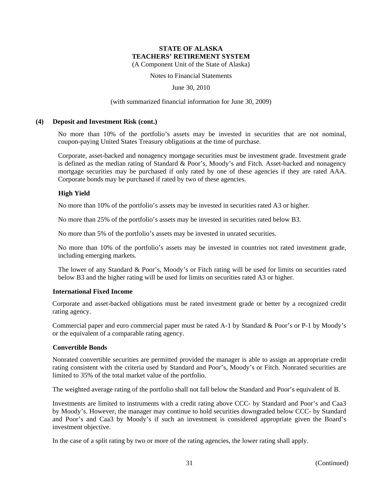Notes to Financial Statements

June 30, 2010

#### (with summarized financial information for June 30, 2009)

#### **(4) Deposit and Investment Risk (cont.)**

No more than 10% of the portfolio's assets may be invested in securities that are not nominal, coupon-paying United States Treasury obligations at the time of purchase.

Corporate, asset-backed and nonagency mortgage securities must be investment grade. Investment grade is defined as the median rating of Standard & Poor's, Moody's and Fitch. Asset-backed and nonagency mortgage securities may be purchased if only rated by one of these agencies if they are rated AAA. Corporate bonds may be purchased if rated by two of these agencies.

#### **High Yield**

No more than 10% of the portfolio's assets may be invested in securities rated A3 or higher.

No more than 25% of the portfolio's assets may be invested in securities rated below B3.

No more than 5% of the portfolio's assets may be invested in unrated securities.

No more than 10% of the portfolio's assets may be invested in countries not rated investment grade, including emerging markets.

The lower of any Standard & Poor's, Moody's or Fitch rating will be used for limits on securities rated below B3 and the higher rating will be used for limits on securities rated A3 or higher.

#### **International Fixed Income**

Corporate and asset-backed obligations must be rated investment grade or better by a recognized credit rating agency.

Commercial paper and euro commercial paper must be rated A-1 by Standard & Poor's or P-1 by Moody's or the equivalent of a comparable rating agency.

#### **Convertible Bonds**

Nonrated convertible securities are permitted provided the manager is able to assign an appropriate credit rating consistent with the criteria used by Standard and Poor's, Moody's or Fitch. Nonrated securities are limited to 35% of the total market value of the portfolio.

The weighted average rating of the portfolio shall not fall below the Standard and Poor's equivalent of B.

Investments are limited to instruments with a credit rating above CCC- by Standard and Poor's and Caa3 by Moody's. However, the manager may continue to hold securities downgraded below CCC- by Standard and Poor's and Caa3 by Moody's if such an investment is considered appropriate given the Board's investment objective.

In the case of a split rating by two or more of the rating agencies, the lower rating shall apply.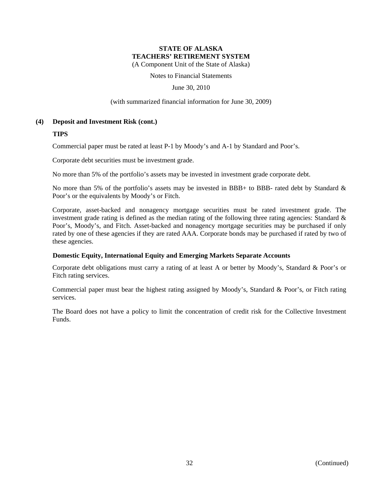Notes to Financial Statements

June 30, 2010

#### (with summarized financial information for June 30, 2009)

#### **(4) Deposit and Investment Risk (cont.)**

#### **TIPS**

Commercial paper must be rated at least P-1 by Moody's and A-1 by Standard and Poor's.

Corporate debt securities must be investment grade.

No more than 5% of the portfolio's assets may be invested in investment grade corporate debt.

No more than 5% of the portfolio's assets may be invested in BBB+ to BBB- rated debt by Standard & Poor's or the equivalents by Moody's or Fitch.

Corporate, asset-backed and nonagency mortgage securities must be rated investment grade. The investment grade rating is defined as the median rating of the following three rating agencies: Standard & Poor's, Moody's, and Fitch. Asset-backed and nonagency mortgage securities may be purchased if only rated by one of these agencies if they are rated AAA. Corporate bonds may be purchased if rated by two of these agencies.

#### **Domestic Equity, International Equity and Emerging Markets Separate Accounts**

Corporate debt obligations must carry a rating of at least A or better by Moody's, Standard & Poor's or Fitch rating services.

Commercial paper must bear the highest rating assigned by Moody's, Standard & Poor's, or Fitch rating services.

The Board does not have a policy to limit the concentration of credit risk for the Collective Investment Funds.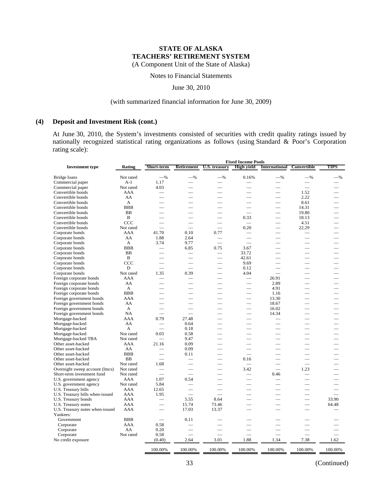Notes to Financial Statements

June 30, 2010

#### (with summarized financial information for June 30, 2009)

#### **(4) Deposit and Investment Risk (cont.)**

At June 30, 2010, the System's investments consisted of securities with credit quality ratings issued by nationally recognized statistical rating organizations as follows (using Standard & Poor's Corporation rating scale):

|                                 |            |                          |                   |                          | <b>Fixed Income Pools</b> |                          |                                                                                                                                                                                                                                |         |
|---------------------------------|------------|--------------------------|-------------------|--------------------------|---------------------------|--------------------------|--------------------------------------------------------------------------------------------------------------------------------------------------------------------------------------------------------------------------------|---------|
| <b>Investment type</b>          | Rating     | Short-term               | <b>Retirement</b> | <b>U.S. treasury</b>     | <b>High yield</b>         | <b>International</b>     | Convertible                                                                                                                                                                                                                    | TIPS    |
| Bridge loans                    | Not rated  | $-$ %                    | $-$ %             | $-$ %                    | 0.16%                     | $-$ %                    | $-$ %                                                                                                                                                                                                                          | $-$ %   |
| Commercial paper                | $A-1$      | 1.17                     |                   |                          |                           |                          |                                                                                                                                                                                                                                |         |
| Commercial paper                | Not rated  | 4.03                     |                   |                          | $\overline{\phantom{0}}$  | $\overline{\phantom{0}}$ |                                                                                                                                                                                                                                |         |
| Convertible bonds               | AAA        |                          |                   |                          | $\overline{\phantom{a}}$  |                          | 1.52                                                                                                                                                                                                                           |         |
| Convertible bonds               | AA         | $\sim$                   |                   |                          | $\overline{\phantom{a}}$  | $\overline{\phantom{0}}$ | 2.22                                                                                                                                                                                                                           |         |
| Convertible bonds               | A          |                          |                   |                          |                           | $\overline{\phantom{0}}$ | 8.61                                                                                                                                                                                                                           |         |
| Convertible bonds               | <b>BBB</b> |                          |                   |                          |                           | ÷,                       | 14.31                                                                                                                                                                                                                          |         |
| Convertible bonds               | <b>BB</b>  |                          |                   |                          |                           |                          | 19.80                                                                                                                                                                                                                          |         |
| Convertible bonds               | B          |                          |                   |                          | 0.33                      | e de                     | 18.13                                                                                                                                                                                                                          |         |
| Convertible bonds               | CCC        |                          |                   |                          |                           | ÷,                       | 4.51                                                                                                                                                                                                                           |         |
| Convertible bonds               | Not rated  | $\overline{\phantom{a}}$ |                   |                          | 0.20                      |                          | 22.29                                                                                                                                                                                                                          |         |
| Corporate bonds                 | AAA        | 41.70                    | 0.10              | 0.77                     |                           |                          |                                                                                                                                                                                                                                |         |
| Corporate bonds                 | AA         | 1.88                     | 2.64              |                          |                           |                          |                                                                                                                                                                                                                                |         |
| Corporate bonds                 | A          | 3.74                     | 9.77              |                          |                           |                          |                                                                                                                                                                                                                                |         |
| Corporate bonds                 | <b>BBB</b> |                          | 6.85              | 0.75                     | 3.67                      |                          |                                                                                                                                                                                                                                |         |
| Corporate bonds                 | <b>BB</b>  |                          |                   |                          | 33.72                     | $\sim$                   | $\sim$                                                                                                                                                                                                                         |         |
| Corporate bonds                 | B          |                          |                   | $\overline{\phantom{0}}$ | 42.61                     |                          |                                                                                                                                                                                                                                |         |
| Corporate bonds                 | CCC        |                          |                   |                          | 9.69                      |                          |                                                                                                                                                                                                                                |         |
| Corporate bonds                 | D          |                          |                   |                          | 0.12                      |                          |                                                                                                                                                                                                                                |         |
| Corporate bonds                 | Not rated  | 1.35                     | 0.39              | $\overline{\phantom{0}}$ | 4.04                      |                          |                                                                                                                                                                                                                                |         |
| Foreign corporate bonds         | AAA        |                          |                   |                          | $\overline{\phantom{0}}$  | 26.91                    |                                                                                                                                                                                                                                |         |
| Foreign corporate bonds         | AA         |                          |                   |                          | $\overline{\phantom{0}}$  | 2.89                     |                                                                                                                                                                                                                                |         |
| Foreign corporate bonds         | A          |                          |                   | $\overline{\phantom{0}}$ | $\overline{\phantom{0}}$  | 4.91                     | and the contract of the contract of the contract of the contract of the contract of the contract of the contract of the contract of the contract of the contract of the contract of the contract of the contract of the contra |         |
| Foreign corporate bonds         | <b>BBB</b> | and the                  |                   |                          | $\overline{\phantom{0}}$  | 1.16                     | ÷,                                                                                                                                                                                                                             |         |
| Foreign government bonds        | AAA        |                          |                   |                          | $\overline{\phantom{0}}$  | 13.30                    |                                                                                                                                                                                                                                |         |
| Foreign government bonds        | AA         |                          |                   |                          | $\overline{\phantom{a}}$  | 18.67                    |                                                                                                                                                                                                                                |         |
| Foreign government bonds        | A          |                          |                   |                          | $\overline{\phantom{0}}$  | 16.02                    |                                                                                                                                                                                                                                |         |
| Foreign government bonds        | <b>NA</b>  |                          |                   |                          | $\overline{\phantom{0}}$  | 14.34                    |                                                                                                                                                                                                                                |         |
| Mortgage-backed                 | AAA        | 0.79                     | 27.48             |                          | $\overline{\phantom{0}}$  |                          | $\sim$                                                                                                                                                                                                                         |         |
| Mortgage-backed                 | AA         |                          | 0.64              |                          | $\sim$                    |                          |                                                                                                                                                                                                                                |         |
| Mortgage-backed                 | A          |                          | 0.18              |                          |                           |                          |                                                                                                                                                                                                                                |         |
| Mortgage-backed                 | Not rated  | 0.03                     | 0.58              |                          |                           |                          |                                                                                                                                                                                                                                |         |
| Mortgage-backed TBA             | Not rated  |                          | 9.47              |                          |                           |                          |                                                                                                                                                                                                                                |         |
| Other asset-backed              | AAA        | 21.16                    | 0.09              |                          |                           | $\overline{\phantom{0}}$ | $\overline{\phantom{0}}$                                                                                                                                                                                                       |         |
| Other asset-backed              | AA         |                          | 0.09              |                          |                           |                          |                                                                                                                                                                                                                                |         |
| Other asset-backed              | <b>BBB</b> |                          | 0.11              |                          |                           |                          |                                                                                                                                                                                                                                |         |
| Other asset-backed              | BB         |                          |                   |                          | 0.16                      |                          |                                                                                                                                                                                                                                |         |
| Other asset-backed              | Not rated  | 1.68                     |                   |                          |                           |                          |                                                                                                                                                                                                                                |         |
| Overnight sweep account (lmcs)  | Not rated  | $\overline{\phantom{0}}$ |                   |                          | 3.42                      |                          | 1.23                                                                                                                                                                                                                           |         |
| Short-term investment fund      | Not rated  |                          |                   |                          | $\sim$                    | 0.46                     |                                                                                                                                                                                                                                |         |
| U.S. government agency          | AAA        | 1.07                     | 0.54              |                          |                           |                          |                                                                                                                                                                                                                                |         |
| U.S. government agency          | Not rated  | 5.84                     |                   |                          |                           |                          |                                                                                                                                                                                                                                |         |
| U.S. Treasury bills             | AAA        | 12.65                    |                   |                          |                           |                          |                                                                                                                                                                                                                                |         |
| U.S. Treasury bills when-issued | <b>AAA</b> | 1.95                     |                   |                          |                           |                          |                                                                                                                                                                                                                                |         |
| U.S. Treasury bonds             | <b>AAA</b> |                          | 5.55              | 8.64                     | $\overline{\phantom{0}}$  |                          |                                                                                                                                                                                                                                | 33.90   |
| U.S. Treasury notes             | AAA        |                          | 15.74             | 73.46                    | ÷.                        |                          |                                                                                                                                                                                                                                | 64.48   |
| U.S. Treasury notes when-issued | AAA        | $\overline{\phantom{0}}$ | 17.03             | 13.37                    | ÷,                        | ÷,                       |                                                                                                                                                                                                                                |         |
| Yankees:                        |            |                          |                   |                          |                           |                          |                                                                                                                                                                                                                                |         |
| Government                      | <b>BBB</b> |                          | 0.11              |                          |                           |                          |                                                                                                                                                                                                                                |         |
| Corporate                       | <b>AAA</b> | 0.58                     |                   |                          |                           |                          |                                                                                                                                                                                                                                |         |
| Corporate                       | AA         | 0.20                     |                   |                          |                           |                          |                                                                                                                                                                                                                                |         |
| Corporate                       | Not rated  | 0.58                     |                   |                          |                           | $\frac{1}{2}$            |                                                                                                                                                                                                                                |         |
| No credit exposure              |            | (0.40)                   | 2.64              | 3.01                     | 1.88                      | 1.34                     | 7.38                                                                                                                                                                                                                           | 1.62    |
|                                 |            | 100.00%                  | 100.00%           | 100.00%                  | 100.00%                   | 100.00%                  | 100.00%                                                                                                                                                                                                                        | 100.00% |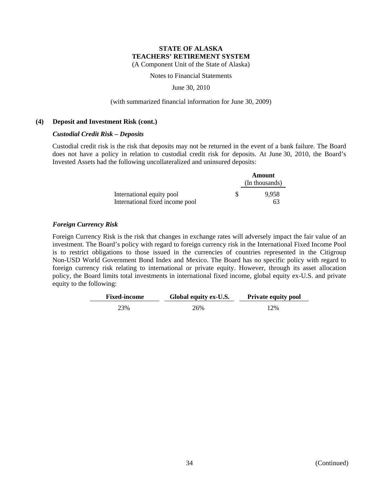Notes to Financial Statements

June 30, 2010

#### (with summarized financial information for June 30, 2009)

#### **(4) Deposit and Investment Risk (cont.)**

#### *Custodial Credit Risk – Deposits*

Custodial credit risk is the risk that deposits may not be returned in the event of a bank failure. The Board does not have a policy in relation to custodial credit risk for deposits. At June 30, 2010, the Board's Invested Assets had the following uncollateralized and uninsured deposits:

|                                                              |   | Amount         |  |  |
|--------------------------------------------------------------|---|----------------|--|--|
|                                                              |   | (In thousands) |  |  |
| International equity pool<br>International fixed income pool | S | 9.958<br>63    |  |  |

#### *Foreign Currency Risk*

Foreign Currency Risk is the risk that changes in exchange rates will adversely impact the fair value of an investment. The Board's policy with regard to foreign currency risk in the International Fixed Income Pool is to restrict obligations to those issued in the currencies of countries represented in the Citigroup Non-USD World Government Bond Index and Mexico. The Board has no specific policy with regard to foreign currency risk relating to international or private equity. However, through its asset allocation policy, the Board limits total investments in international fixed income, global equity ex-U.S. and private equity to the following:

| <b>Fixed-income</b> | Global equity ex-U.S. | <b>Private equity pool</b> |  |  |
|---------------------|-----------------------|----------------------------|--|--|
| 23%                 | 26%                   | 12%                        |  |  |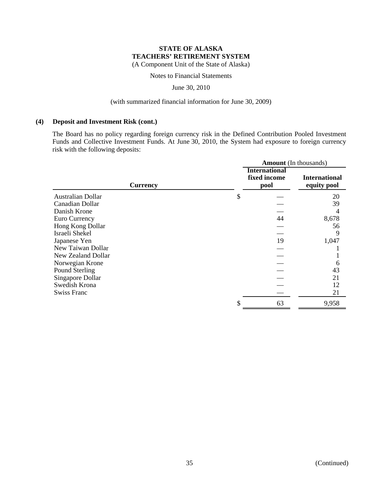Notes to Financial Statements

June 30, 2010

#### (with summarized financial information for June 30, 2009)

#### **(4) Deposit and Investment Risk (cont.)**

The Board has no policy regarding foreign currency risk in the Defined Contribution Pooled Investment Funds and Collective Investment Funds. At June 30, 2010, the System had exposure to foreign currency risk with the following deposits:

|                    | <b>Amount</b> (In thousands)                 |                                     |  |  |  |
|--------------------|----------------------------------------------|-------------------------------------|--|--|--|
| <b>Currency</b>    | <b>International</b><br>fixed income<br>pool | <b>International</b><br>equity pool |  |  |  |
| Australian Dollar  | \$                                           | 20                                  |  |  |  |
| Canadian Dollar    |                                              | 39                                  |  |  |  |
| Danish Krone       |                                              |                                     |  |  |  |
| Euro Currency      | 44                                           | 8,678                               |  |  |  |
| Hong Kong Dollar   |                                              | 56                                  |  |  |  |
| Israeli Shekel     |                                              | 9                                   |  |  |  |
| Japanese Yen       | 19                                           | 1,047                               |  |  |  |
| New Taiwan Dollar  |                                              |                                     |  |  |  |
| New Zealand Dollar |                                              |                                     |  |  |  |
| Norwegian Krone    |                                              | 6                                   |  |  |  |
| Pound Sterling     |                                              | 43                                  |  |  |  |
| Singapore Dollar   |                                              | 21                                  |  |  |  |
| Swedish Krona      |                                              | 12                                  |  |  |  |
| <b>Swiss Franc</b> |                                              | 21                                  |  |  |  |
|                    | \$<br>63                                     | 9,958                               |  |  |  |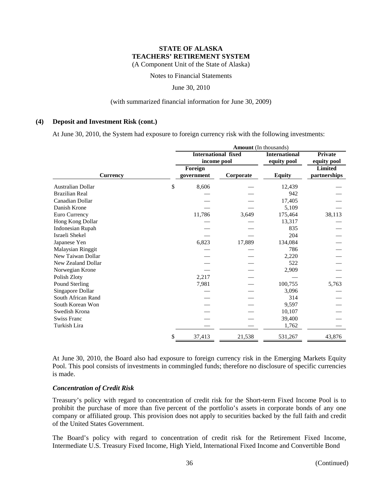Notes to Financial Statements

June 30, 2010

#### (with summarized financial information for June 30, 2009)

#### **(4) Deposit and Investment Risk (cont.)**

At June 30, 2010, the System had exposure to foreign currency risk with the following investments:

|                       | <b>Amount</b> (In thousands) |                            |                      |                |                |  |  |
|-----------------------|------------------------------|----------------------------|----------------------|----------------|----------------|--|--|
|                       |                              | <b>International fixed</b> | <b>International</b> | <b>Private</b> |                |  |  |
|                       |                              | income pool                |                      | equity pool    | equity pool    |  |  |
|                       |                              | Foreign                    |                      |                | <b>Limited</b> |  |  |
| <b>Currency</b>       |                              | government                 | Corporate            | <b>Equity</b>  | partnerships   |  |  |
| Australian Dollar     | \$                           | 8,606                      |                      | 12,439         |                |  |  |
| <b>Brazilian Real</b> |                              |                            |                      | 942            |                |  |  |
| Canadian Dollar       |                              |                            |                      | 17,405         |                |  |  |
| Danish Krone          |                              |                            |                      | 5,109          |                |  |  |
| Euro Currency         |                              | 11,786                     | 3,649                | 175,464        | 38,113         |  |  |
| Hong Kong Dollar      |                              |                            |                      | 13,317         |                |  |  |
| Indonesian Rupah      |                              |                            |                      | 835            |                |  |  |
| Israeli Shekel        |                              |                            |                      | 204            |                |  |  |
| Japanese Yen          |                              | 6,823                      | 17,889               | 134,084        |                |  |  |
| Malaysian Ringgit     |                              |                            |                      | 786            |                |  |  |
| New Taiwan Dollar     |                              |                            |                      | 2,220          |                |  |  |
| New Zealand Dollar    |                              |                            |                      | 522            |                |  |  |
| Norwegian Krone       |                              |                            |                      | 2,909          |                |  |  |
| Polish Zloty          |                              | 2,217                      |                      |                |                |  |  |
| <b>Pound Sterling</b> |                              | 7,981                      |                      | 100,755        | 5,763          |  |  |
| Singapore Dollar      |                              |                            |                      | 3,096          |                |  |  |
| South African Rand    |                              |                            |                      | 314            |                |  |  |
| South Korean Won      |                              |                            |                      | 9,597          |                |  |  |
| Swedish Krona         |                              |                            |                      | 10,107         |                |  |  |
| <b>Swiss Franc</b>    |                              |                            |                      | 39,400         |                |  |  |
| Turkish Lira          |                              |                            |                      | 1,762          |                |  |  |
|                       | \$                           | 37,413                     | 21,538               | 531,267        | 43,876         |  |  |

At June 30, 2010, the Board also had exposure to foreign currency risk in the Emerging Markets Equity Pool. This pool consists of investments in commingled funds; therefore no disclosure of specific currencies is made.

#### *Concentration of Credit Risk*

Treasury's policy with regard to concentration of credit risk for the Short-term Fixed Income Pool is to prohibit the purchase of more than five percent of the portfolio's assets in corporate bonds of any one company or affiliated group. This provision does not apply to securities backed by the full faith and credit of the United States Government.

The Board's policy with regard to concentration of credit risk for the Retirement Fixed Income, Intermediate U.S. Treasury Fixed Income, High Yield, International Fixed Income and Convertible Bond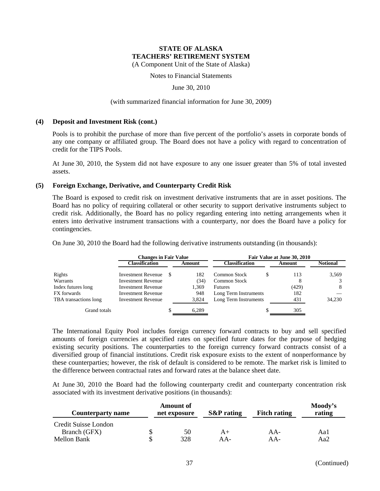Notes to Financial Statements

June 30, 2010

#### (with summarized financial information for June 30, 2009)

#### **(4) Deposit and Investment Risk (cont.)**

Pools is to prohibit the purchase of more than five percent of the portfolio's assets in corporate bonds of any one company or affiliated group. The Board does not have a policy with regard to concentration of credit for the TIPS Pools.

At June 30, 2010, the System did not have exposure to any one issuer greater than 5% of total invested assets.

#### **(5) Foreign Exchange, Derivative, and Counterparty Credit Risk**

The Board is exposed to credit risk on investment derivative instruments that are in asset positions. The Board has no policy of requiring collateral or other security to support derivative instruments subject to credit risk. Additionally, the Board has no policy regarding entering into netting arrangements when it enters into derivative instrument transactions with a counterparty, nor does the Board have a policy for contingencies.

On June 30, 2010 the Board had the following derivative instruments outstanding (in thousands):

|                       | <b>Changes in Fair Value</b> |  |        | Fair Value at June 30, 2010 |        |                 |  |
|-----------------------|------------------------------|--|--------|-----------------------------|--------|-----------------|--|
|                       | <b>Classification</b>        |  | Amount | <b>Classification</b>       | Amount | <b>Notional</b> |  |
| Rights                | <b>Investment Revenue</b>    |  | 182    | Common Stock                | 113    | 3,569           |  |
| Warrants              | <b>Investment Revenue</b>    |  | (34)   | Common Stock                |        |                 |  |
| Index futures long    | <b>Investment Revenue</b>    |  | 1.369  | <b>Futures</b>              | (429)  |                 |  |
| FX forwards           | <b>Investment Revenue</b>    |  | 948    | Long Term Instruments       | 182    |                 |  |
| TBA transactions long | Investment Revenue           |  | 3,824  | Long Term Instruments       | 431    | 34,230          |  |
| Grand totals          |                              |  | 6,289  |                             | 305    |                 |  |

The International Equity Pool includes foreign currency forward contracts to buy and sell specified amounts of foreign currencies at specified rates on specified future dates for the purpose of hedging existing security positions. The counterparties to the foreign currency forward contracts consist of a diversified group of financial institutions. Credit risk exposure exists to the extent of nonperformance by these counterparties; however, the risk of default is considered to be remote. The market risk is limited to the difference between contractual rates and forward rates at the balance sheet date.

At June 30, 2010 the Board had the following counterparty credit and counterparty concentration risk associated with its investment derivative positions (in thousands):

| <b>Counterparty name</b> | <b>Amount of</b><br>net exposure | <b>S&amp;P</b> rating | <b>Fitch rating</b> | Moody's<br>rating |
|--------------------------|----------------------------------|-----------------------|---------------------|-------------------|
| Credit Suisse London     |                                  |                       |                     |                   |
| Branch (GFX)             | 50                               | $A+$                  | $AA-$               | Aal               |
| Mellon Bank              | 328                              | AA-                   | $AA-$               | Aa2               |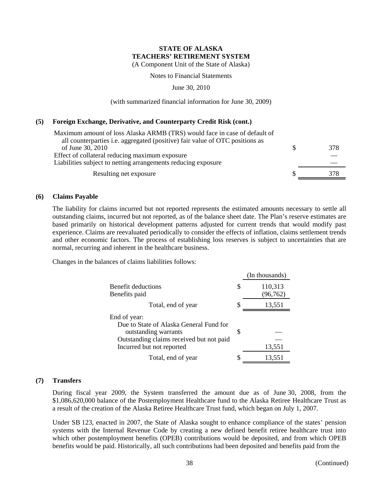Notes to Financial Statements

June 30, 2010

(with summarized financial information for June 30, 2009)

#### **(5) Foreign Exchange, Derivative, and Counterparty Credit Risk (cont.)**

| Maximum amount of loss Alaska ARMB (TRS) would face in case of default of<br>all counterparties <i>i.e.</i> aggregated (positive) fair value of OTC positions as |     |
|------------------------------------------------------------------------------------------------------------------------------------------------------------------|-----|
| of June 30, 2010                                                                                                                                                 | 378 |
| Effect of collateral reducing maximum exposure                                                                                                                   |     |
| Liabilities subject to netting arrangements reducing exposure                                                                                                    |     |
| Resulting net exposure                                                                                                                                           | 378 |

#### **(6) Claims Payable**

The liability for claims incurred but not reported represents the estimated amounts necessary to settle all outstanding claims, incurred but not reported, as of the balance sheet date. The Plan's reserve estimates are based primarily on historical development patterns adjusted for current trends that would modify past experience. Claims are reevaluated periodically to consider the effects of inflation, claims settlement trends and other economic factors. The process of establishing loss reserves is subject to uncertainties that are normal, recurring and inherent in the healthcare business.

Changes in the balances of claims liabilities follows:

|                                                                                                                             |   | (In thousands)       |
|-----------------------------------------------------------------------------------------------------------------------------|---|----------------------|
| <b>Benefit deductions</b><br>Benefits paid                                                                                  | S | 110,313<br>(96, 762) |
| Total, end of year                                                                                                          |   | 13,551               |
| End of year:<br>Due to State of Alaska General Fund for<br>outstanding warrants<br>Outstanding claims received but not paid | S |                      |
| Incurred but not reported                                                                                                   |   | 13,551               |
| Total, end of year                                                                                                          |   | 13,551               |

#### **(7) Transfers**

During fiscal year 2009, the System transferred the amount due as of June 30, 2008, from the \$1,086,620,000 balance of the Postemployment Healthcare fund to the Alaska Retiree Healthcare Trust as a result of the creation of the Alaska Retiree Healthcare Trust fund, which began on July 1, 2007.

Under SB 123, enacted in 2007, the State of Alaska sought to enhance compliance of the states' pension systems with the Internal Revenue Code by creating a new defined benefit retiree healthcare trust into which other postemployment benefits (OPEB) contributions would be deposited, and from which OPEB benefits would be paid. Historically, all such contributions had been deposited and benefits paid from the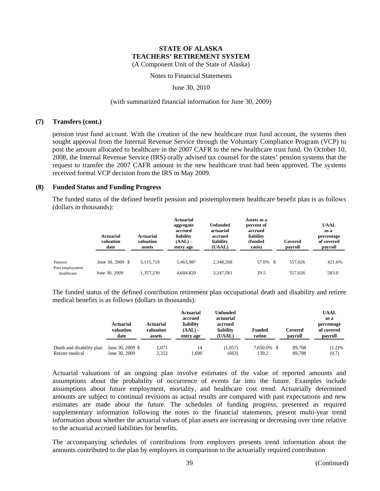Notes to Financial Statements

June 30, 2010

#### (with summarized financial information for June 30, 2009)

#### **(7) Transfers (cont.)**

pension trust fund account. With the creation of the new healthcare trust fund account, the systems then sought approval from the Internal Revenue Service through the Voluntary Compliance Program (VCP) to post the amount allocated to healthcare in the 2007 CAFR to the new healthcare trust fund. On October 10, 2008, the Internal Revenue Service (IRS) orally advised tax counsel for the states' pension systems that the request to transfer the 2007 CAFR amount in the new healthcare trust had been approved. The systems received formal VCP decision from the IRS in May 2009.

#### **(8) Funded Status and Funding Progress**

The funded status of the defined benefit pension and postemployment healthcare benefit plan is as follows (dollars in thousands):

|                               | <b>Actuarial</b><br>valuation<br>date | Actuarial<br>valuation<br>assets | <b>Actuarial</b><br>aggregate<br>accrued<br>liability<br>$(AAL) -$<br>entry age | <b>Unfunded</b><br>actuarial<br>accrued<br>liability<br>(UAAL) | Assets as a<br>percent of<br>accrued<br>liability<br>(funded<br>ratio) | Covered<br>payroll | <b>UAAL</b><br>as a<br>percentage<br>of covered<br>payroll |
|-------------------------------|---------------------------------------|----------------------------------|---------------------------------------------------------------------------------|----------------------------------------------------------------|------------------------------------------------------------------------|--------------------|------------------------------------------------------------|
| Pension                       | June 30, 2009 \$                      | 3.115.719                        | 5.463.987                                                                       | 2.348.268                                                      | 57.0% \$                                                               | 557,026            | 421.6%                                                     |
| Post employment<br>healthcare | June 30, 2009                         | 1,357,239                        | 4.604.820                                                                       | 3.247.581                                                      | 29.5                                                                   | 557,026            | 583.0                                                      |

The funded status of the defined contribution retirement plan occupational death and disability and retiree medical benefits is as follows (dollars in thousands):

|                           | <b>Actuarial</b><br>valuation<br>date | <b>Actuarial</b><br>valuation<br>assets | <b>Actuarial</b><br>accrued<br>liability<br>$(AAL)$ -<br>entry age | Unfunded<br>actuarial<br>accrued<br>liability<br>(UAAL) | <b>Funded</b><br>ration | Covered<br>payroll | <b>UAAL</b><br>as a<br>percentage<br>of covered<br>payroll |
|---------------------------|---------------------------------------|-----------------------------------------|--------------------------------------------------------------------|---------------------------------------------------------|-------------------------|--------------------|------------------------------------------------------------|
| Death and disability plan | June 30, 2009 $$$                     | 1.071                                   | 14                                                                 | (1.057)                                                 | 7,650.0% \$             | 89.708             | (1.2)%                                                     |
| Retiree medical           | June 30, 2009                         | 2,353                                   | 1.690                                                              | (663)                                                   | 139.2                   | 89.708             | (0.7)                                                      |

Actuarial valuations of an ongoing plan involve estimates of the value of reported amounts and assumptions about the probability of occurrence of events far into the future. Examples include assumptions about future employment, mortality, and healthcare cost trend. Actuarially determined amounts are subject to continual revisions as actual results are compared with past expectations and new estimates are made about the future. The schedules of funding progress, presented as required supplementary information following the notes to the financial statements, present multi-year trend information about whether the actuarial values of plan assets are increasing or decreasing over time relative to the actuarial accrued liabilities for benefits.

The accompanying schedules of contributions from employers presents trend information about the amounts contributed to the plan by employers in comparison to the actuarially required contribution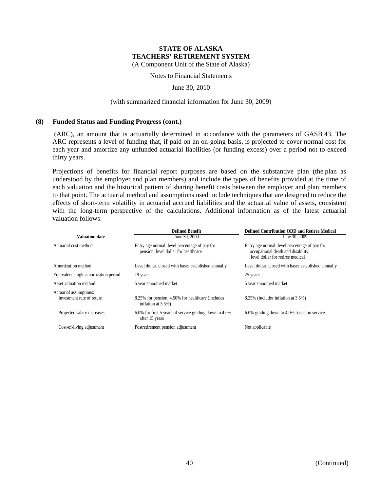Notes to Financial Statements

June 30, 2010

#### (with summarized financial information for June 30, 2009)

#### **(8) Funded Status and Funding Progress (cont.)**

 (ARC), an amount that is actuarially determined in accordance with the parameters of GASB 43. The ARC represents a level of funding that, if paid on an on-going basis, is projected to cover normal cost for each year and amortize any unfunded actuarial liabilities (or funding excess) over a period not to exceed thirty years.

Projections of benefits for financial report purposes are based on the substantive plan (the plan as understood by the employer and plan members) and include the types of benefits provided at the time of each valuation and the historical pattern of sharing benefit costs between the employer and plan members to that point. The actuarial method and assumptions used include techniques that are designed to reduce the effects of short-term volatility in actuarial accrued liabilities and the actuarial value of assets, consistent with the long-term perspective of the calculations. Additional information as of the latest actuarial valuation follows:

| <b>Valuation date</b>                               | <b>Defined Benefit</b><br>June 30, 2009                                               | <b>Defined Contribution ODD and Retiree Medical</b><br>June 30, 2009                                                    |
|-----------------------------------------------------|---------------------------------------------------------------------------------------|-------------------------------------------------------------------------------------------------------------------------|
| Actuarial cost method                               | Entry age normal; level percentage of pay for<br>pension; level dollar for healthcare | Entry age normal; level percentage of pay for<br>occupational death and disability;<br>level dollar for retiree medical |
| Amortization method                                 | Level dollar, closed with bases established annually                                  | Level dollar, closed with bases established annually                                                                    |
| Equivalent single amortization period               | 19 years                                                                              | 25 years                                                                                                                |
| Asset valuation method                              | 5 year smoothed market                                                                | 5 year smoothed market                                                                                                  |
| Actuarial assumptions:<br>Investment rate of return | 8.25% for pension, 4.50% for healthcare (includes<br>inflation at 3.5%)               | 8.25% (includes inflation at 3.5%)                                                                                      |
| Projected salary increases                          | 6.0% for first 5 years of service grading down to 4.0%<br>after 15 years              | 6.0% grading down to 4.0% based on service                                                                              |
| Cost-of-living adjustment                           | Postretirement pension adjustment                                                     | Not applicable                                                                                                          |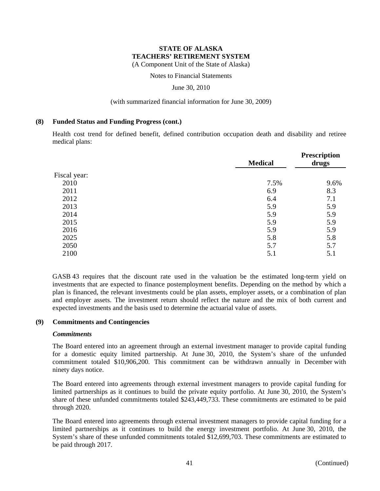Notes to Financial Statements

June 30, 2010

#### (with summarized financial information for June 30, 2009)

#### **(8) Funded Status and Funding Progress (cont.)**

Health cost trend for defined benefit, defined contribution occupation death and disability and retiree medical plans:

| Fiscal year: | <b>Medical</b> | <b>Prescription</b><br>drugs |  |
|--------------|----------------|------------------------------|--|
|              |                |                              |  |
| 2010         | 7.5%           | 9.6%                         |  |
| 2011         | 6.9            | 8.3                          |  |
| 2012         | 6.4            | 7.1                          |  |
| 2013         | 5.9            | 5.9                          |  |
| 2014         | 5.9            | 5.9                          |  |
| 2015         | 5.9            | 5.9                          |  |
| 2016         | 5.9            | 5.9                          |  |
| 2025         | 5.8            | 5.8                          |  |
| 2050         | 5.7            | 5.7                          |  |
| 2100         | 5.1            | 5.1                          |  |

GASB 43 requires that the discount rate used in the valuation be the estimated long-term yield on investments that are expected to finance postemployment benefits. Depending on the method by which a plan is financed, the relevant investments could be plan assets, employer assets, or a combination of plan and employer assets. The investment return should reflect the nature and the mix of both current and expected investments and the basis used to determine the actuarial value of assets.

#### **(9) Commitments and Contingencies**

#### *Commitments*

The Board entered into an agreement through an external investment manager to provide capital funding for a domestic equity limited partnership. At June 30, 2010, the System's share of the unfunded commitment totaled \$10,906,200. This commitment can be withdrawn annually in December with ninety days notice.

The Board entered into agreements through external investment managers to provide capital funding for limited partnerships as it continues to build the private equity portfolio. At June 30, 2010, the System's share of these unfunded commitments totaled \$243,449,733. These commitments are estimated to be paid through 2020.

The Board entered into agreements through external investment managers to provide capital funding for a limited partnerships as it continues to build the energy investment portfolio. At June 30, 2010, the System's share of these unfunded commitments totaled \$12,699,703. These commitments are estimated to be paid through 2017.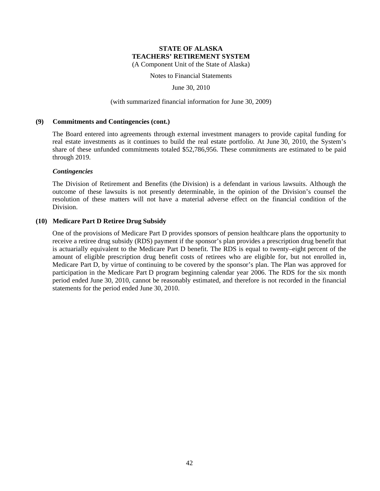Notes to Financial Statements

June 30, 2010

#### (with summarized financial information for June 30, 2009)

#### **(9) Commitments and Contingencies (cont.)**

The Board entered into agreements through external investment managers to provide capital funding for real estate investments as it continues to build the real estate portfolio. At June 30, 2010, the System's share of these unfunded commitments totaled \$52,786,956. These commitments are estimated to be paid through 2019.

#### *Contingencies*

The Division of Retirement and Benefits (the Division) is a defendant in various lawsuits. Although the outcome of these lawsuits is not presently determinable, in the opinion of the Division's counsel the resolution of these matters will not have a material adverse effect on the financial condition of the Division.

#### **(10) Medicare Part D Retiree Drug Subsidy**

One of the provisions of Medicare Part D provides sponsors of pension healthcare plans the opportunity to receive a retiree drug subsidy (RDS) payment if the sponsor's plan provides a prescription drug benefit that is actuarially equivalent to the Medicare Part D benefit. The RDS is equal to twenty–eight percent of the amount of eligible prescription drug benefit costs of retirees who are eligible for, but not enrolled in, Medicare Part D, by virtue of continuing to be covered by the sponsor's plan. The Plan was approved for participation in the Medicare Part D program beginning calendar year 2006. The RDS for the six month period ended June 30, 2010, cannot be reasonably estimated, and therefore is not recorded in the financial statements for the period ended June 30, 2010.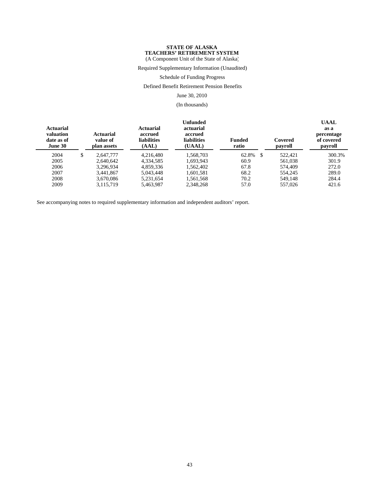(A Component Unit of the State of Alaska)

Required Supplementary Information (Unaudited)

Schedule of Funding Progress

Defined Benefit Retirement Pension Benefits

June 30, 2010

(In thousands)

| Actuarial<br>valuation<br>date as of<br><b>June 30</b> | <b>Actuarial</b><br>value of<br>plan assets | Actuarial<br>accrued<br><b>liabilities</b><br>(AAL) | Unfunded<br>actuarial<br>accrued<br><b>liabilities</b><br>(UAAL) | <b>Funded</b><br>ratio | Covered<br>payroll | <b>UAAL</b><br>as a<br>percentage<br>of covered<br>payroll |
|--------------------------------------------------------|---------------------------------------------|-----------------------------------------------------|------------------------------------------------------------------|------------------------|--------------------|------------------------------------------------------------|
| 2004                                                   | \$<br>2.647.777                             | 4.216.480                                           | 1.568.703                                                        | 62.8%<br>- \$          | 522.421            | 300.3%                                                     |
| 2005                                                   | 2.640.642                                   | 4.334.585                                           | 1.693.943                                                        | 60.9                   | 561,038            | 301.9                                                      |
| 2006                                                   | 3.296.934                                   | 4,859,336                                           | 1,562,402                                                        | 67.8                   | 574,409            | 272.0                                                      |
| 2007                                                   | 3.441.867                                   | 5.043.448                                           | 1,601,581                                                        | 68.2                   | 554,245            | 289.0                                                      |
| 2008                                                   | 3.670.086                                   | 5.231.654                                           | 1,561,568                                                        | 70.2                   | 549.148            | 284.4                                                      |
| 2009                                                   | 3,115,719                                   | 5.463.987                                           | 2.348.268                                                        | 57.0                   | 557,026            | 421.6                                                      |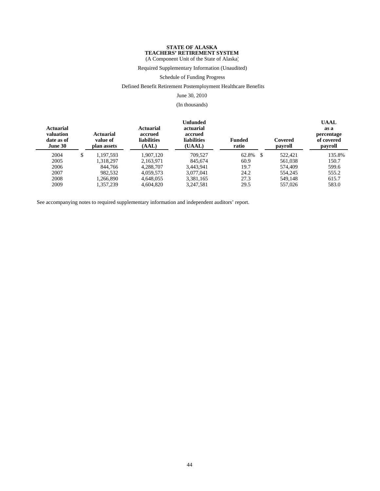(A Component Unit of the State of Alaska)

Required Supplementary Information (Unaudited)

#### Schedule of Funding Progress

#### Defined Benefit Retirement Postemployment Healthcare Benefits

June 30, 2010

(In thousands)

| Actuarial<br>valuation<br>date as of<br><b>June 30</b> | <b>Actuarial</b><br>value of<br>plan assets | Actuarial<br>accrued<br><b>liabilities</b><br>(AAL) | Unfunded<br>actuarial<br>accrued<br><b>liabilities</b><br>(UAAL) | <b>Funded</b><br>ratio | Covered<br>payroll | <b>UAAL</b><br>as a<br>percentage<br>of covered<br>payroll |
|--------------------------------------------------------|---------------------------------------------|-----------------------------------------------------|------------------------------------------------------------------|------------------------|--------------------|------------------------------------------------------------|
| 2004                                                   | \$<br>1.197.593                             | 1.907.120                                           | 709.527                                                          | 62.8%<br>\$.           | 522,421            | 135.8%                                                     |
| 2005                                                   | 1.318.297                                   | 2,163,971                                           | 845,674                                                          | 60.9                   | 561.038            | 150.7                                                      |
| 2006                                                   | 844,766                                     | 4.288.707                                           | 3.443.941                                                        | 19.7                   | 574,409            | 599.6                                                      |
| 2007                                                   | 982,532                                     | 4.059.573                                           | 3,077,041                                                        | 24.2                   | 554,245            | 555.2                                                      |
| 2008                                                   | 1.266.890                                   | 4.648.055                                           | 3,381,165                                                        | 27.3                   | 549.148            | 615.7                                                      |
| 2009                                                   | 1.357.239                                   | 4,604,820                                           | 3.247.581                                                        | 29.5                   | 557,026            | 583.0                                                      |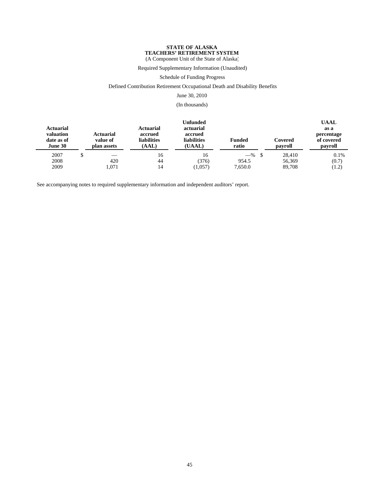(A Component Unit of the State of Alaska)

Required Supplementary Information (Unaudited)

#### Schedule of Funding Progress

#### Defined Contribution Retirement Occupational Death and Disability Benefits

June 30, 2010

(In thousands)

| <b>Actuarial</b><br>valuation<br>date as of<br>June 30 | <b>Actuarial</b><br>value of<br>plan assets | <b>Actuarial</b><br>accrued<br><b>liabilities</b><br>(AAL) | <b>Unfunded</b><br>actuarial<br>accrued<br><b>liabilities</b><br>(UAAL) | <b>Funded</b><br>ratio | Covered<br>payroll | <b>UAAL</b><br>as a<br>percentage<br>of covered<br>payroll |
|--------------------------------------------------------|---------------------------------------------|------------------------------------------------------------|-------------------------------------------------------------------------|------------------------|--------------------|------------------------------------------------------------|
| 2007                                                   |                                             | 16                                                         | 16                                                                      | $-$ %                  | 28,410             | 0.1%                                                       |
| 2008<br>2009                                           | 420<br>1.071                                | 44<br>14                                                   | (376)<br>(1,057)                                                        | 954.5<br>7,650.0       | 56,369<br>89,708   | (0.7)<br>(1.2)                                             |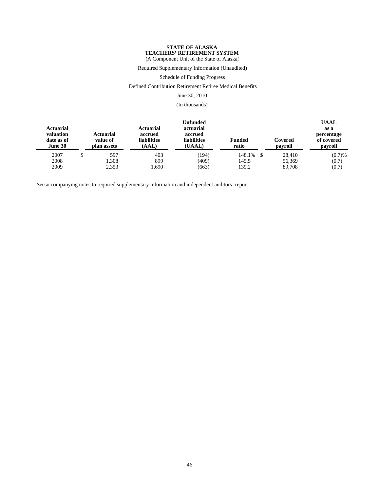(A Component Unit of the State of Alaska)

Required Supplementary Information (Unaudited)

Schedule of Funding Progress

Defined Contribution Retirement Retiree Medical Benefits

June 30, 2010

(In thousands)

| <b>Actuarial</b><br>valuation<br>date as of<br>June 30 | <b>Actuarial</b><br>value of<br>plan assets | <b>Actuarial</b><br>accrued<br><b>liabilities</b><br>(AAL) | Unfunded<br>actuarial<br>accrued<br><b>liabilities</b><br>(UAAL)<br>403<br>(194)<br>899<br>(409) | <b>Funded</b><br>ratio | Covered<br>payroll | <b>UAAL</b><br>as a<br>percentage<br>of covered<br>payroll |
|--------------------------------------------------------|---------------------------------------------|------------------------------------------------------------|--------------------------------------------------------------------------------------------------|------------------------|--------------------|------------------------------------------------------------|
| 2007                                                   | 597                                         |                                                            |                                                                                                  | 148.1%                 | 28,410             | (0.7)%                                                     |
| 2008                                                   | 1.308                                       |                                                            |                                                                                                  | 145.5                  | 56.369             | (0.7)                                                      |
| 2009                                                   | 2,353                                       | 1,690                                                      | (663)                                                                                            | 139.2                  | 89.708             | (0.7)                                                      |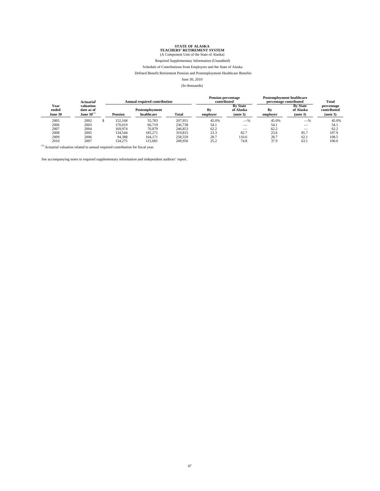Required Supplementary Information (Unaudited)

#### Schedule of Contributions from Employers and the State of Alaska

Defined Benefit Retirement Pension and Postemployment Healthcare Benefits

June 30, 2010

(In thousands)

| <b>Actuarial</b>         |                                                |  |                | <b>Annual required contribution</b> |         | <b>Pension percentage</b><br>contributed |                                          | <b>Postemployment healthcare</b><br>percentage contributed |                                          | Total                                 |
|--------------------------|------------------------------------------------|--|----------------|-------------------------------------|---------|------------------------------------------|------------------------------------------|------------------------------------------------------------|------------------------------------------|---------------------------------------|
| Year<br>ended<br>June 30 | valuation<br>date as of<br>June $30^{\rm (1)}$ |  | <b>Pension</b> | Postemplovment<br>healthcare        | Total   | Bv<br>employer                           | <b>By State</b><br>of Alaska<br>(note 3) | Bv<br>employer                                             | <b>By State</b><br>of Alaska<br>(note 3) | percentage<br>contributed<br>(note 3) |
| 2005                     | 2002                                           |  | 152.168        | 55.783                              | 207.951 | 45.0%                                    | $-$ %                                    | 45.0%                                                      | $-$ %                                    | 45.0%                                 |
| 2006                     | 2003                                           |  | 170.019        | 66,719                              | 236,738 | 54.1                                     |                                          | 54.1                                                       |                                          | 54.1                                  |
| 2007                     | 2004                                           |  | 169,974        | 76.879                              | 246,853 | 62.2                                     |                                          | 62.2                                                       |                                          | 62.2                                  |
| 2008                     | 2005                                           |  | 134.544        | 185.271                             | 319,815 | 23.3                                     | 82.7                                     | 23.6                                                       | 85.7                                     | 107.9                                 |
| 2009                     | 2006                                           |  | 94.388         | 164.171                             | 258,559 | 28.7                                     | 110.6                                    | 28.7                                                       | 62.1                                     | 108.5                                 |
| 2010                     | 2007                                           |  | 134.275        | 115.681                             | 249.956 | 25.2                                     | 74.8                                     | 37.9                                                       | 63.1                                     | 100.0                                 |

 $^{\left(1\right)}$  Actuarial valuation related to annual required contribution for fiscal year.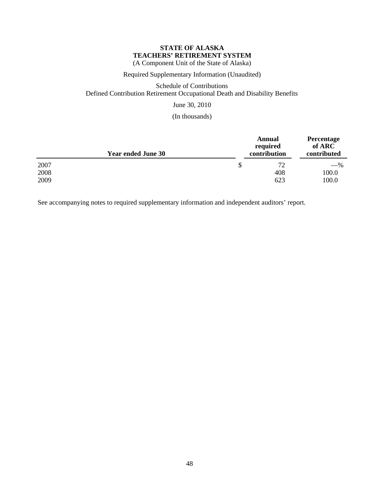(A Component Unit of the State of Alaska)

Required Supplementary Information (Unaudited)

Schedule of Contributions Defined Contribution Retirement Occupational Death and Disability Benefits

June 30, 2010

(In thousands)

|      | <b>Year ended June 30</b> | Annual<br>required<br>contribution | Percentage<br>of ARC<br>contributed |
|------|---------------------------|------------------------------------|-------------------------------------|
| 2007 |                           | 72                                 | $-$ %                               |
| 2008 |                           | 408                                | 100.0                               |
| 2009 |                           | 623                                | 100.0                               |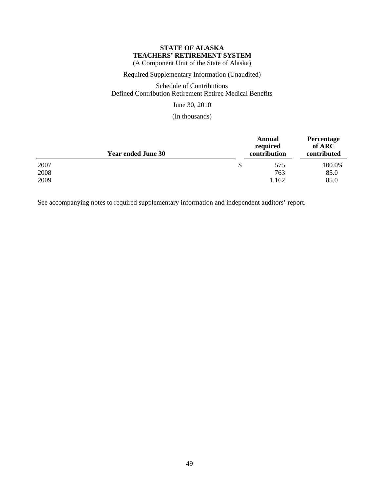(A Component Unit of the State of Alaska)

Required Supplementary Information (Unaudited)

Schedule of Contributions Defined Contribution Retirement Retiree Medical Benefits

June 30, 2010

(In thousands)

|      | <b>Year ended June 30</b> | Annual<br>required<br>contribution | Percentage<br>of ARC<br>contributed |
|------|---------------------------|------------------------------------|-------------------------------------|
| 2007 |                           | 575                                | 100.0%                              |
| 2008 |                           | 763                                | 85.0                                |
| 2009 |                           | 1,162                              | 85.0                                |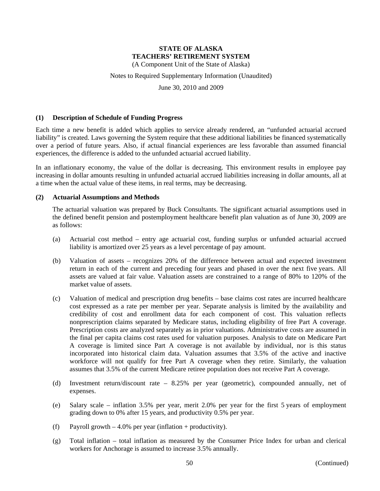(A Component Unit of the State of Alaska)

#### Notes to Required Supplementary Information (Unaudited)

June 30, 2010 and 2009

#### **(1) Description of Schedule of Funding Progress**

Each time a new benefit is added which applies to service already rendered, an "unfunded actuarial accrued liability" is created. Laws governing the System require that these additional liabilities be financed systematically over a period of future years. Also, if actual financial experiences are less favorable than assumed financial experiences, the difference is added to the unfunded actuarial accrued liability.

In an inflationary economy, the value of the dollar is decreasing. This environment results in employee pay increasing in dollar amounts resulting in unfunded actuarial accrued liabilities increasing in dollar amounts, all at a time when the actual value of these items, in real terms, may be decreasing.

#### **(2) Actuarial Assumptions and Methods**

The actuarial valuation was prepared by Buck Consultants. The significant actuarial assumptions used in the defined benefit pension and postemployment healthcare benefit plan valuation as of June 30, 2009 are as follows:

- (a) Actuarial cost method entry age actuarial cost, funding surplus or unfunded actuarial accrued liability is amortized over 25 years as a level percentage of pay amount.
- (b) Valuation of assets recognizes 20% of the difference between actual and expected investment return in each of the current and preceding four years and phased in over the next five years. All assets are valued at fair value. Valuation assets are constrained to a range of 80% to 120% of the market value of assets.
- (c) Valuation of medical and prescription drug benefits base claims cost rates are incurred healthcare cost expressed as a rate per member per year. Separate analysis is limited by the availability and credibility of cost and enrollment data for each component of cost. This valuation reflects nonprescription claims separated by Medicare status, including eligibility of free Part A coverage. Prescription costs are analyzed separately as in prior valuations. Administrative costs are assumed in the final per capita claims cost rates used for valuation purposes. Analysis to date on Medicare Part A coverage is limited since Part A coverage is not available by individual, nor is this status incorporated into historical claim data. Valuation assumes that 3.5% of the active and inactive workforce will not qualify for free Part A coverage when they retire. Similarly, the valuation assumes that 3.5% of the current Medicare retiree population does not receive Part A coverage.
- (d) Investment return/discount rate 8.25% per year (geometric), compounded annually, net of expenses.
- (e) Salary scale inflation 3.5% per year, merit 2.0% per year for the first 5 years of employment grading down to 0% after 15 years, and productivity 0.5% per year.
- (f) Payroll growth  $-4.0\%$  per year (inflation + productivity).
- (g) Total inflation total inflation as measured by the Consumer Price Index for urban and clerical workers for Anchorage is assumed to increase 3.5% annually.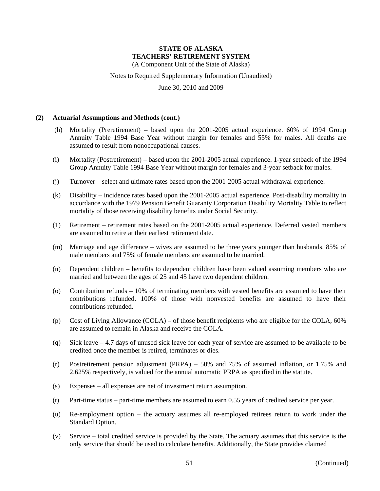(A Component Unit of the State of Alaska)

Notes to Required Supplementary Information (Unaudited)

June 30, 2010 and 2009

#### **(2) Actuarial Assumptions and Methods (cont.)**

- (h) Mortality (Preretirement) based upon the 2001-2005 actual experience. 60% of 1994 Group Annuity Table 1994 Base Year without margin for females and 55% for males. All deaths are assumed to result from nonoccupational causes.
- (i) Mortality (Postretirement) based upon the 2001-2005 actual experience. 1-year setback of the 1994 Group Annuity Table 1994 Base Year without margin for females and 3-year setback for males.
- (j) Turnover select and ultimate rates based upon the 2001-2005 actual withdrawal experience.
- (k) Disability incidence rates based upon the 2001-2005 actual experience. Post-disability mortality in accordance with the 1979 Pension Benefit Guaranty Corporation Disability Mortality Table to reflect mortality of those receiving disability benefits under Social Security.
- (1) Retirement retirement rates based on the 2001-2005 actual experience. Deferred vested members are assumed to retire at their earliest retirement date.
- (m) Marriage and age difference wives are assumed to be three years younger than husbands. 85% of male members and 75% of female members are assumed to be married.
- (n) Dependent children benefits to dependent children have been valued assuming members who are married and between the ages of 25 and 45 have two dependent children.
- (o) Contribution refunds 10% of terminating members with vested benefits are assumed to have their contributions refunded. 100% of those with nonvested benefits are assumed to have their contributions refunded.
- (p) Cost of Living Allowance (COLA) of those benefit recipients who are eligible for the COLA, 60% are assumed to remain in Alaska and receive the COLA.
- (q) Sick leave 4.7 days of unused sick leave for each year of service are assumed to be available to be credited once the member is retired, terminates or dies.
- (r) Postretirement pension adjustment (PRPA) 50% and 75% of assumed inflation, or 1.75% and 2.625% respectively, is valued for the annual automatic PRPA as specified in the statute.
- (s) Expenses all expenses are net of investment return assumption.
- (t) Part-time status part-time members are assumed to earn 0.55 years of credited service per year.
- (u) Re-employment option the actuary assumes all re-employed retirees return to work under the Standard Option.
- (v) Service total credited service is provided by the State. The actuary assumes that this service is the only service that should be used to calculate benefits. Additionally, the State provides claimed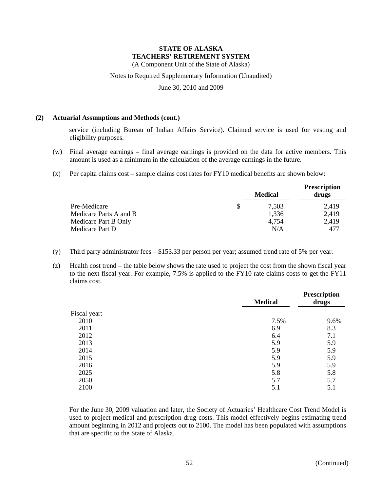(A Component Unit of the State of Alaska)

#### Notes to Required Supplementary Information (Unaudited)

June 30, 2010 and 2009

#### **(2) Actuarial Assumptions and Methods (cont.)**

service (including Bureau of Indian Affairs Service). Claimed service is used for vesting and eligibility purposes.

- (w) Final average earnings final average earnings is provided on the data for active members. This amount is used as a minimum in the calculation of the average earnings in the future.
- (x) Per capita claims cost sample claims cost rates for FY10 medical benefits are shown below:

|                        |               | <b>Medical</b> | <b>Prescription</b><br>drugs |
|------------------------|---------------|----------------|------------------------------|
| Pre-Medicare           | <sup>\$</sup> | 7.503          | 2,419                        |
| Medicare Parts A and B |               | 1,336          | 2,419                        |
| Medicare Part B Only   |               | 4,754          | 2,419                        |
| Medicare Part D        |               | N/A            | 477                          |

- (y) Third party administrator fees \$153.33 per person per year; assumed trend rate of 5% per year.
- (z) Health cost trend the table below shows the rate used to project the cost from the shown fiscal year to the next fiscal year. For example, 7.5% is applied to the FY10 rate claims costs to get the FY11 claims cost.

|              | <b>Medical</b> | <b>Prescription</b><br>drugs |  |
|--------------|----------------|------------------------------|--|
| Fiscal year: |                |                              |  |
| 2010         | 7.5%           | 9.6%                         |  |
| 2011         | 6.9            | 8.3                          |  |
| 2012         | 6.4            | 7.1                          |  |
| 2013         | 5.9            | 5.9                          |  |
| 2014         | 5.9            | 5.9                          |  |
| 2015         | 5.9            | 5.9                          |  |
| 2016         | 5.9            | 5.9                          |  |
| 2025         | 5.8            | 5.8                          |  |
| 2050         | 5.7            | 5.7                          |  |
| 2100         | 5.1            | 5.1                          |  |
|              |                |                              |  |

For the June 30, 2009 valuation and later, the Society of Actuaries' Healthcare Cost Trend Model is used to project medical and prescription drug costs. This model effectively begins estimating trend amount beginning in 2012 and projects out to 2100. The model has been populated with assumptions that are specific to the State of Alaska.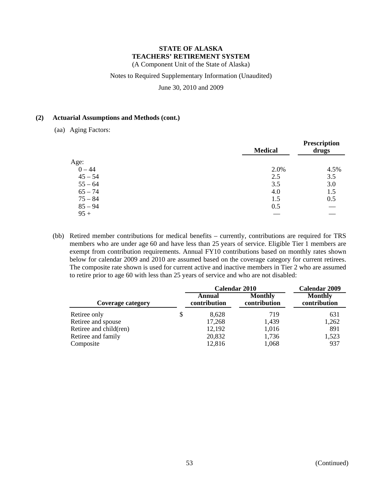(A Component Unit of the State of Alaska)

#### Notes to Required Supplementary Information (Unaudited)

June 30, 2010 and 2009

#### **(2) Actuarial Assumptions and Methods (cont.)**

(aa) Aging Factors:

|           | <b>Medical</b> | <b>Prescription</b><br>drugs |
|-----------|----------------|------------------------------|
| Age:      |                |                              |
| $0 - 44$  | 2.0%           | 4.5%                         |
| $45 - 54$ | 2.5            | 3.5                          |
| $55 - 64$ | 3.5            | 3.0                          |
| $65 - 74$ | 4.0            | 1.5                          |
| $75 - 84$ | 1.5            | 0.5                          |
| $85 - 94$ | 0.5            |                              |
| $95 +$    |                |                              |

(bb) Retired member contributions for medical benefits – currently, contributions are required for TRS members who are under age 60 and have less than 25 years of service. Eligible Tier 1 members are exempt from contribution requirements. Annual FY10 contributions based on monthly rates shown below for calendar 2009 and 2010 are assumed based on the coverage category for current retirees. The composite rate shown is used for current active and inactive members in Tier 2 who are assumed to retire prior to age 60 with less than 25 years of service and who are not disabled:

|                        | <b>Calendar 2010</b>   | <b>Calendar 2009</b>           |                                |
|------------------------|------------------------|--------------------------------|--------------------------------|
| Coverage category      | Annual<br>contribution | <b>Monthly</b><br>contribution | <b>Monthly</b><br>contribution |
| Retiree only           | \$<br>8,628            | 719                            | 631                            |
| Retiree and spouse     | 17,268                 | 1,439                          | 1,262                          |
| Retiree and child(ren) | 12,192                 | 1,016                          | 891                            |
| Retiree and family     | 20,832                 | 1,736                          | 1,523                          |
| Composite              | 12,816                 | 1,068                          | 937                            |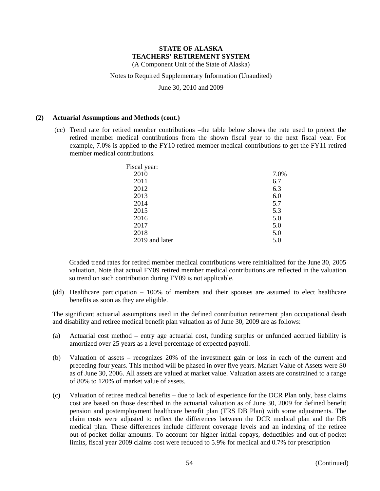(A Component Unit of the State of Alaska)

#### Notes to Required Supplementary Information (Unaudited)

June 30, 2010 and 2009

#### **(2) Actuarial Assumptions and Methods (cont.)**

 (cc) Trend rate for retired member contributions –the table below shows the rate used to project the retired member medical contributions from the shown fiscal year to the next fiscal year. For example, 7.0% is applied to the FY10 retired member medical contributions to get the FY11 retired member medical contributions.

| Fiscal year:   |      |
|----------------|------|
| 2010           | 7.0% |
| 2011           | 6.7  |
| 2012           | 6.3  |
| 2013           | 6.0  |
| 2014           | 5.7  |
| 2015           | 5.3  |
| 2016           | 5.0  |
| 2017           | 5.0  |
| 2018           | 5.0  |
| 2019 and later | 5.0  |

Graded trend rates for retired member medical contributions were reinitialized for the June 30, 2005 valuation. Note that actual FY09 retired member medical contributions are reflected in the valuation so trend on such contribution during FY09 is not applicable.

(dd) Healthcare participation – 100% of members and their spouses are assumed to elect healthcare benefits as soon as they are eligible.

The significant actuarial assumptions used in the defined contribution retirement plan occupational death and disability and retiree medical benefit plan valuation as of June 30, 2009 are as follows:

- (a) Actuarial cost method entry age actuarial cost, funding surplus or unfunded accrued liability is amortized over 25 years as a level percentage of expected payroll.
- (b) Valuation of assets recognizes 20% of the investment gain or loss in each of the current and preceding four years. This method will be phased in over five years. Market Value of Assets were \$0 as of June 30, 2006. All assets are valued at market value. Valuation assets are constrained to a range of 80% to 120% of market value of assets.
- (c) Valuation of retiree medical benefits due to lack of experience for the DCR Plan only, base claims cost are based on those described in the actuarial valuation as of June 30, 2009 for defined benefit pension and postemployment healthcare benefit plan (TRS DB Plan) with some adjustments. The claim costs were adjusted to reflect the differences between the DCR medical plan and the DB medical plan. These differences include different coverage levels and an indexing of the retiree out-of-pocket dollar amounts. To account for higher initial copays, deductibles and out-of-pocket limits, fiscal year 2009 claims cost were reduced to 5.9% for medical and 0.7% for prescription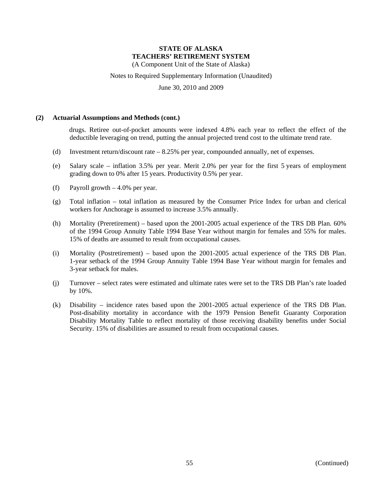(A Component Unit of the State of Alaska)

#### Notes to Required Supplementary Information (Unaudited)

June 30, 2010 and 2009

#### **(2) Actuarial Assumptions and Methods (cont.)**

drugs. Retiree out-of-pocket amounts were indexed 4.8% each year to reflect the effect of the deductible leveraging on trend, putting the annual projected trend cost to the ultimate trend rate.

- (d) Investment return/discount rate 8.25% per year, compounded annually, net of expenses.
- (e) Salary scale inflation 3.5% per year. Merit 2.0% per year for the first 5 years of employment grading down to 0% after 15 years. Productivity 0.5% per year.
- (f) Payroll growth 4.0% per year.
- (g) Total inflation total inflation as measured by the Consumer Price Index for urban and clerical workers for Anchorage is assumed to increase 3.5% annually.
- (h) Mortality (Preretirement) based upon the 2001-2005 actual experience of the TRS DB Plan. 60% of the 1994 Group Annuity Table 1994 Base Year without margin for females and 55% for males. 15% of deaths are assumed to result from occupational causes.
- (i) Mortality (Postretirement) based upon the 2001-2005 actual experience of the TRS DB Plan. 1-year setback of the 1994 Group Annuity Table 1994 Base Year without margin for females and 3-year setback for males.
- (j) Turnover select rates were estimated and ultimate rates were set to the TRS DB Plan's rate loaded by 10%.
- (k) Disability incidence rates based upon the 2001-2005 actual experience of the TRS DB Plan. Post-disability mortality in accordance with the 1979 Pension Benefit Guaranty Corporation Disability Mortality Table to reflect mortality of those receiving disability benefits under Social Security. 15% of disabilities are assumed to result from occupational causes.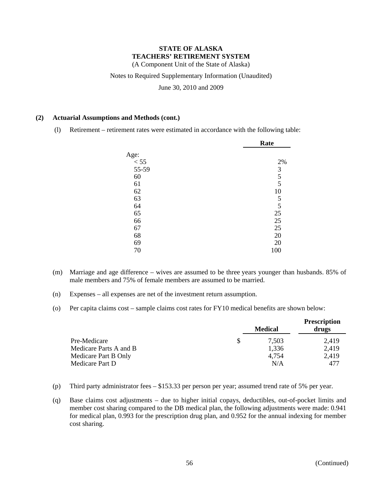(A Component Unit of the State of Alaska)

Notes to Required Supplementary Information (Unaudited)

June 30, 2010 and 2009

#### **(2) Actuarial Assumptions and Methods (cont.)**

(l) Retirement – retirement rates were estimated in accordance with the following table:

|       | Rate                                       |
|-------|--------------------------------------------|
| Age:  |                                            |
| < 55  | 2%                                         |
| 55-59 |                                            |
| 60    | $\begin{array}{c} 3 \\ 5 \\ 5 \end{array}$ |
| 61    |                                            |
| 62    | 10                                         |
| 63    | 5                                          |
| 64    | 5                                          |
| 65    | 25                                         |
| 66    | 25                                         |
| 67    | 25                                         |
| 68    | 20                                         |
| 69    | 20                                         |
| 70    | 100                                        |

- (m) Marriage and age difference wives are assumed to be three years younger than husbands. 85% of male members and 75% of female members are assumed to be married.
- (n) Expenses all expenses are net of the investment return assumption.
- (o) Per capita claims cost sample claims cost rates for FY10 medical benefits are shown below:

|                        |   | <b>Medical</b> | <b>Prescription</b><br>drugs |
|------------------------|---|----------------|------------------------------|
| Pre-Medicare           | S | 7.503          | 2.419                        |
| Medicare Parts A and B |   | 1,336          | 2,419                        |
| Medicare Part B Only   |   | 4,754          | 2,419                        |
| Medicare Part D        |   | N/A            | 477                          |

- (p) Third party administrator fees \$153.33 per person per year; assumed trend rate of 5% per year.
- (q) Base claims cost adjustments due to higher initial copays, deductibles, out-of-pocket limits and member cost sharing compared to the DB medical plan, the following adjustments were made: 0.941 for medical plan, 0.993 for the prescription drug plan, and 0.952 for the annual indexing for member cost sharing.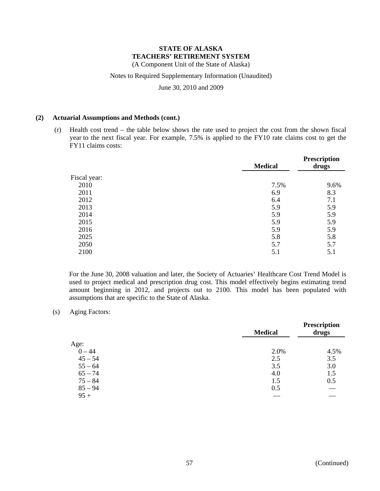(A Component Unit of the State of Alaska)

#### Notes to Required Supplementary Information (Unaudited)

June 30, 2010 and 2009

#### **(2) Actuarial Assumptions and Methods (cont.)**

 (r) Health cost trend – the table below shows the rate used to project the cost from the shown fiscal year to the next fiscal year. For example, 7.5% is applied to the FY10 rate claims cost to get the FY11 claims costs:

|              | <b>Medical</b> | Prescription<br>drugs |
|--------------|----------------|-----------------------|
| Fiscal year: |                |                       |
| 2010         | 7.5%           | 9.6%                  |
| 2011         | 6.9            | 8.3                   |
| 2012         | 6.4            | 7.1                   |
| 2013         | 5.9            | 5.9                   |
| 2014         | 5.9            | 5.9                   |
| 2015         | 5.9            | 5.9                   |
| 2016         | 5.9            | 5.9                   |
| 2025         | 5.8            | 5.8                   |
| 2050         | 5.7            | 5.7                   |
| 2100         | 5.1            | 5.1                   |

For the June 30, 2008 valuation and later, the Society of Actuaries' Healthcare Cost Trend Model is used to project medical and prescription drug cost. This model effectively begins estimating trend amount beginning in 2012, and projects out to 2100. This model has been populated with assumptions that are specific to the State of Alaska.

#### (s) Aging Factors:

|           | <b>Medical</b> | <b>Prescription</b><br>drugs |
|-----------|----------------|------------------------------|
| Age:      |                |                              |
| $0 - 44$  | 2.0%           | 4.5%                         |
| $45 - 54$ | 2.5            | 3.5                          |
| $55 - 64$ | 3.5            | 3.0                          |
| $65 - 74$ | 4.0            | 1.5                          |
| $75 - 84$ | 1.5            | 0.5                          |
| $85 - 94$ | 0.5            |                              |
| $95 +$    |                |                              |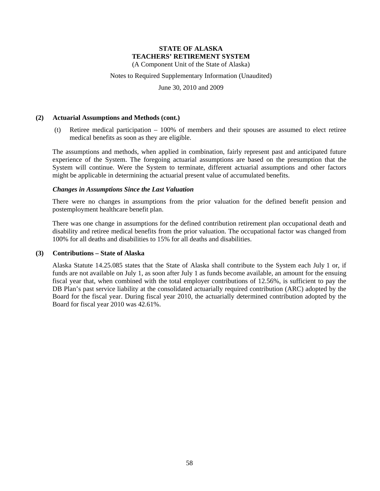(A Component Unit of the State of Alaska)

#### Notes to Required Supplementary Information (Unaudited)

June 30, 2010 and 2009

#### **(2) Actuarial Assumptions and Methods (cont.)**

 (t) Retiree medical participation – 100% of members and their spouses are assumed to elect retiree medical benefits as soon as they are eligible.

The assumptions and methods, when applied in combination, fairly represent past and anticipated future experience of the System. The foregoing actuarial assumptions are based on the presumption that the System will continue. Were the System to terminate, different actuarial assumptions and other factors might be applicable in determining the actuarial present value of accumulated benefits.

#### *Changes in Assumptions Since the Last Valuation*

There were no changes in assumptions from the prior valuation for the defined benefit pension and postemployment healthcare benefit plan.

There was one change in assumptions for the defined contribution retirement plan occupational death and disability and retiree medical benefits from the prior valuation. The occupational factor was changed from 100% for all deaths and disabilities to 15% for all deaths and disabilities.

#### **(3) Contributions – State of Alaska**

Alaska Statute 14.25.085 states that the State of Alaska shall contribute to the System each July 1 or, if funds are not available on July 1, as soon after July 1 as funds become available, an amount for the ensuing fiscal year that, when combined with the total employer contributions of 12.56%, is sufficient to pay the DB Plan's past service liability at the consolidated actuarially required contribution (ARC) adopted by the Board for the fiscal year. During fiscal year 2010, the actuarially determined contribution adopted by the Board for fiscal year 2010 was 42.61%.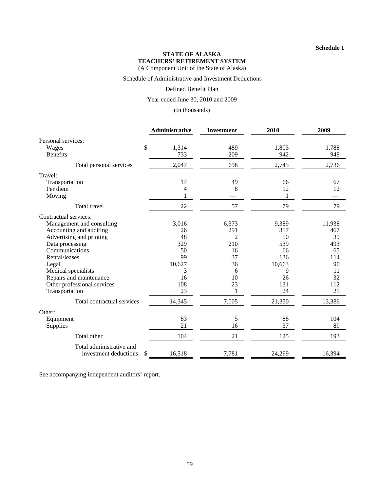**Schedule 1**

#### **STATE OF ALASKA TEACHERS' RETIREMENT SYSTEM** (A Component Unit of the State of Alaska)

#### Schedule of Administrative and Investment Deductions

#### Defined Benefit Plan

#### Year ended June 30, 2010 and 2009

#### (In thousands)

|                             | Administrative | <b>Investment</b> | 2010   | 2009   |
|-----------------------------|----------------|-------------------|--------|--------|
| Personal services:          |                |                   |        |        |
| \$<br>Wages                 | 1,314          | 489               | 1,803  | 1,788  |
| <b>Benefits</b>             | 733            | 209               | 942    | 948    |
| Total personal services     | 2,047          | 698               | 2,745  | 2,736  |
| Travel:                     |                |                   |        |        |
| Transportation              | 17             | 49                | 66     | 67     |
| Per diem                    | 4              | 8                 | 12     | 12     |
| Moving                      | 1              |                   | 1      |        |
| Total travel                | 22             | 57                | 79     | 79     |
| Contractual services:       |                |                   |        |        |
| Management and consulting   | 3,016          | 6,373             | 9,389  | 11,938 |
| Accounting and auditing     | 26             | 291               | 317    | 467    |
| Advertising and printing    | 48             | 2                 | 50     | 39     |
| Data processing             | 329            | 210               | 539    | 493    |
| Communications              | 50             | 16                | 66     | 65     |
| Rental/leases               | 99             | 37                | 136    | 114    |
| Legal                       | 10,627         | 36                | 10,663 | 90     |
| Medical specialists         | 3              | 6                 | 9      | 11     |
| Repairs and maintenance     | 16             | 10                | 26     | 32     |
| Other professional services | 108            | 23                | 131    | 112    |
| Transportation              | 23             |                   | 24     | 25     |
| Total contractual services  | 14,345         | 7,005             | 21,350 | 13,386 |
| Other:                      |                |                   |        |        |
| Equipment                   | 83             | 5                 | 88     | 104    |
| Supplies                    | 21             | 16                | 37     | 89     |
| Total other                 | 104            | 21                | 125    | 193    |
| Total administrative and    |                |                   |        |        |
| \$<br>investment deductions | 16,518         | 7,781             | 24,299 | 16,394 |

See accompanying independent auditors' report.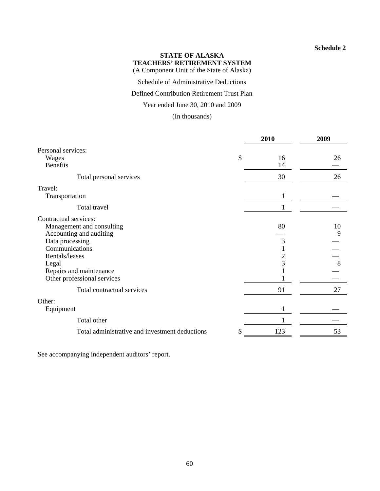#### **Schedule 2**

# **STATE OF ALASKA TEACHERS' RETIREMENT SYSTEM**

(A Component Unit of the State of Alaska)

Schedule of Administrative Deductions

### Defined Contribution Retirement Trust Plan

Year ended June 30, 2010 and 2009

(In thousands)

|                                                                                                                                                                                                                                       | 2010          |                                      | 2009                              |
|---------------------------------------------------------------------------------------------------------------------------------------------------------------------------------------------------------------------------------------|---------------|--------------------------------------|-----------------------------------|
| Personal services:<br>Wages<br><b>Benefits</b>                                                                                                                                                                                        | $\mathcal{S}$ | 16<br>14                             | 26                                |
| Total personal services                                                                                                                                                                                                               |               | 30                                   | 26                                |
| Travel:<br>Transportation                                                                                                                                                                                                             |               | 1                                    |                                   |
| Total travel                                                                                                                                                                                                                          |               | 1                                    |                                   |
| Contractual services:<br>Management and consulting<br>Accounting and auditing<br>Data processing<br>Communications<br>Rentals/leases<br>Legal<br>Repairs and maintenance<br>Other professional services<br>Total contractual services |               | 80<br>3<br>$\overline{c}$<br>3<br>91 | 10<br>9<br>$\boldsymbol{8}$<br>27 |
| Other:                                                                                                                                                                                                                                |               |                                      |                                   |
| Equipment                                                                                                                                                                                                                             |               | 1                                    |                                   |
| Total other                                                                                                                                                                                                                           |               |                                      |                                   |
| Total administrative and investment deductions                                                                                                                                                                                        |               | 123                                  | 53                                |

See accompanying independent auditors' report.